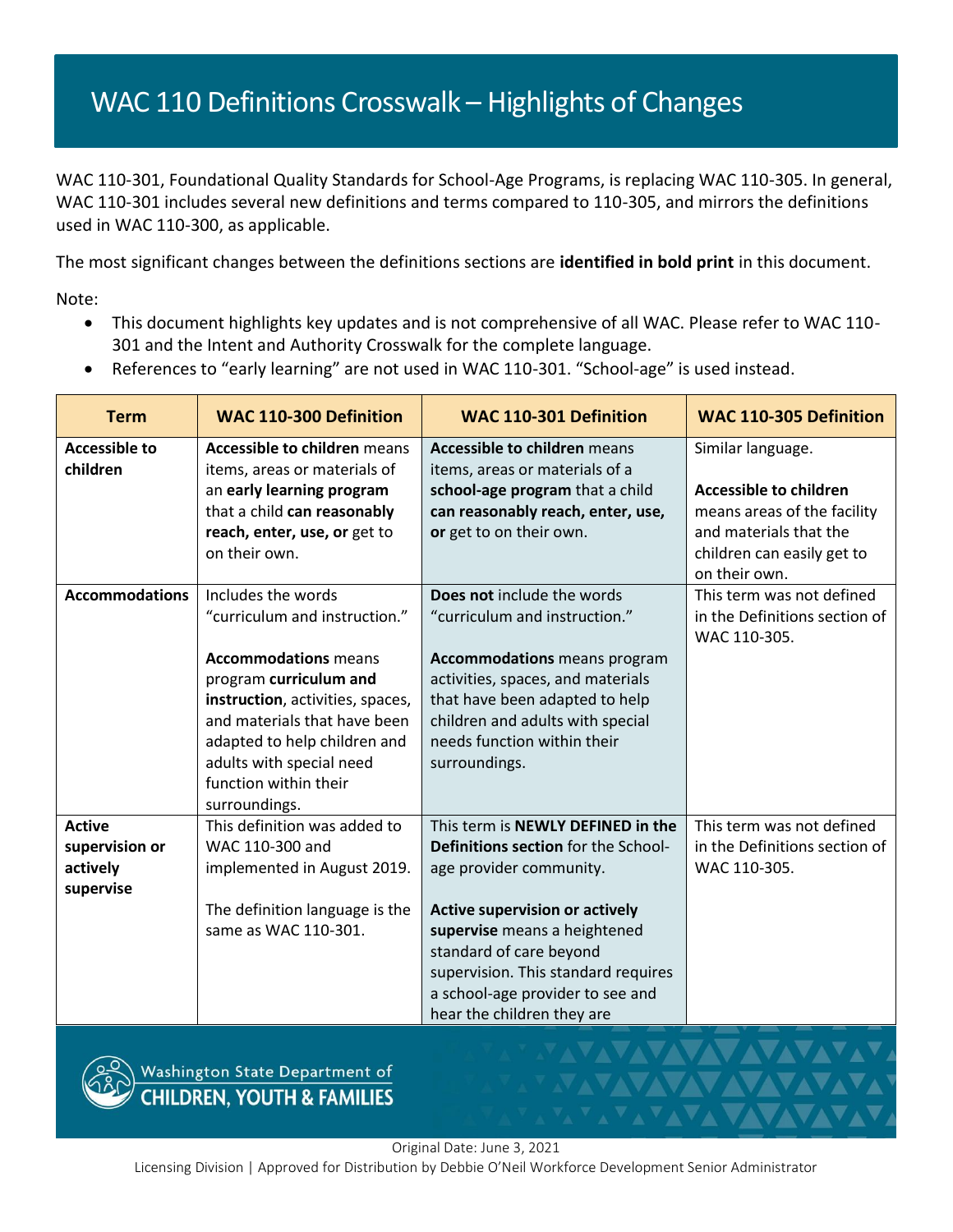## WAC 110 Definitions Crosswalk - Highlights of Changes

WAC 110-301, Foundational Quality Standards for School-Age Programs, is replacing WAC 110-305. In general, WAC 110-301 includes several new definitions and terms compared to 110-305, and mirrors the definitions used in WAC 110-300, as applicable.

The most significant changes between the definitions sections are **identified in bold print** in this document.

Note:

- This document highlights key updates and is not comprehensive of all WAC. Please refer to WAC 110- 301 and the Intent and Authority Crosswalk for the complete language.
- References to "early learning" are not used in WAC 110-301. "School-age" is used instead.

| <b>Term</b>           | <b>WAC 110-300 Definition</b>       | <b>WAC 110-301 Definition</b>         | <b>WAC 110-305 Definition</b>                 |
|-----------------------|-------------------------------------|---------------------------------------|-----------------------------------------------|
| <b>Accessible to</b>  | <b>Accessible to children means</b> | <b>Accessible to children means</b>   | Similar language.                             |
| children              | items, areas or materials of        | items, areas or materials of a        |                                               |
|                       | an early learning program           | school-age program that a child       | <b>Accessible to children</b>                 |
|                       | that a child can reasonably         | can reasonably reach, enter, use,     | means areas of the facility                   |
|                       | reach, enter, use, or get to        | or get to on their own.               | and materials that the                        |
|                       | on their own.                       |                                       | children can easily get to                    |
|                       |                                     |                                       | on their own.                                 |
| <b>Accommodations</b> | Includes the words                  | Does not include the words            | This term was not defined                     |
|                       | "curriculum and instruction."       | "curriculum and instruction."         | in the Definitions section of<br>WAC 110-305. |
|                       | <b>Accommodations</b> means         | <b>Accommodations</b> means program   |                                               |
|                       | program curriculum and              | activities, spaces, and materials     |                                               |
|                       | instruction, activities, spaces,    | that have been adapted to help        |                                               |
|                       | and materials that have been        | children and adults with special      |                                               |
|                       | adapted to help children and        | needs function within their           |                                               |
|                       | adults with special need            | surroundings.                         |                                               |
|                       | function within their               |                                       |                                               |
|                       | surroundings.                       |                                       |                                               |
| <b>Active</b>         | This definition was added to        | This term is NEWLY DEFINED in the     | This term was not defined                     |
| supervision or        | WAC 110-300 and                     | Definitions section for the School-   | in the Definitions section of                 |
| actively              | implemented in August 2019.         | age provider community.               | WAC 110-305.                                  |
| supervise             |                                     |                                       |                                               |
|                       | The definition language is the      | <b>Active supervision or actively</b> |                                               |
|                       | same as WAC 110-301.                | supervise means a heightened          |                                               |
|                       |                                     | standard of care beyond               |                                               |
|                       |                                     | supervision. This standard requires   |                                               |
|                       |                                     | a school-age provider to see and      |                                               |
|                       |                                     | hear the children they are            |                                               |



Washington State Department of<br>CHILDREN, YOUTH & FAMILIES

Original Date: June 3, 2021

Licensing Division | Approved for Distribution by Debbie O'Neil Workforce Development Senior Administrator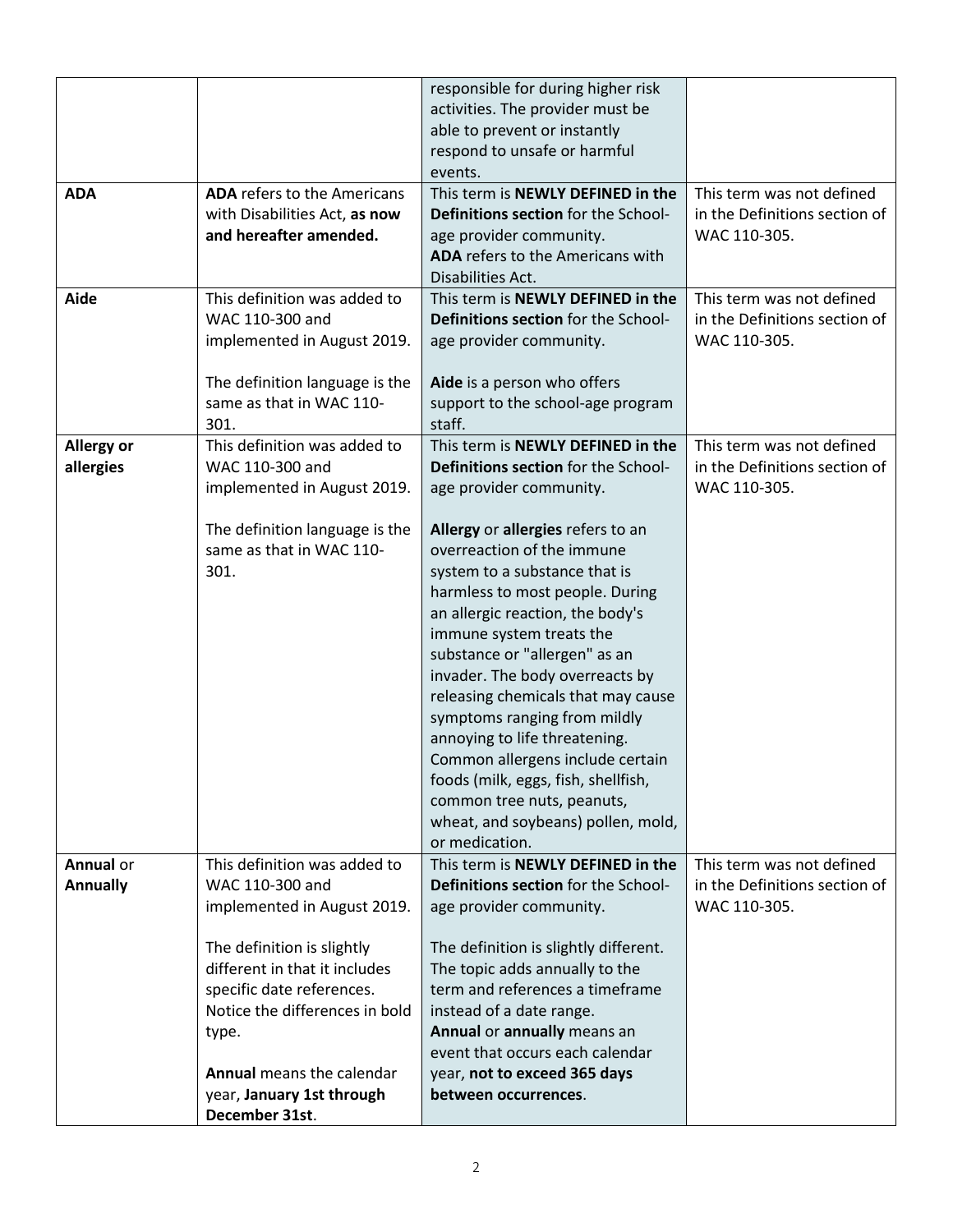|                                |                                                                                                                                                                                                                                                           | responsible for during higher risk<br>activities. The provider must be<br>able to prevent or instantly<br>respond to unsafe or harmful<br>events.                                                                                                                                                                                                                                                                                                                                                                                                                                                                                                      |                                                                            |
|--------------------------------|-----------------------------------------------------------------------------------------------------------------------------------------------------------------------------------------------------------------------------------------------------------|--------------------------------------------------------------------------------------------------------------------------------------------------------------------------------------------------------------------------------------------------------------------------------------------------------------------------------------------------------------------------------------------------------------------------------------------------------------------------------------------------------------------------------------------------------------------------------------------------------------------------------------------------------|----------------------------------------------------------------------------|
| <b>ADA</b>                     | <b>ADA</b> refers to the Americans<br>with Disabilities Act, as now<br>and hereafter amended.                                                                                                                                                             | This term is NEWLY DEFINED in the<br>Definitions section for the School-<br>age provider community.<br>ADA refers to the Americans with<br>Disabilities Act.                                                                                                                                                                                                                                                                                                                                                                                                                                                                                           | This term was not defined<br>in the Definitions section of<br>WAC 110-305. |
| Aide                           | This definition was added to<br>WAC 110-300 and<br>implemented in August 2019.<br>The definition language is the<br>same as that in WAC 110-<br>301.                                                                                                      | This term is NEWLY DEFINED in the<br>Definitions section for the School-<br>age provider community.<br>Aide is a person who offers<br>support to the school-age program<br>staff.                                                                                                                                                                                                                                                                                                                                                                                                                                                                      | This term was not defined<br>in the Definitions section of<br>WAC 110-305. |
| <b>Allergy or</b><br>allergies | This definition was added to<br>WAC 110-300 and<br>implemented in August 2019.<br>The definition language is the<br>same as that in WAC 110-<br>301.                                                                                                      | This term is NEWLY DEFINED in the<br>Definitions section for the School-<br>age provider community.<br>Allergy or allergies refers to an<br>overreaction of the immune<br>system to a substance that is<br>harmless to most people. During<br>an allergic reaction, the body's<br>immune system treats the<br>substance or "allergen" as an<br>invader. The body overreacts by<br>releasing chemicals that may cause<br>symptoms ranging from mildly<br>annoying to life threatening.<br>Common allergens include certain<br>foods (milk, eggs, fish, shellfish,<br>common tree nuts, peanuts,<br>wheat, and soybeans) pollen, mold,<br>or medication. | This term was not defined<br>in the Definitions section of<br>WAC 110-305. |
| Annual or<br><b>Annually</b>   | This definition was added to<br>WAC 110-300 and<br>implemented in August 2019.<br>The definition is slightly<br>different in that it includes<br>specific date references.<br>Notice the differences in bold<br>type.<br><b>Annual means the calendar</b> | This term is NEWLY DEFINED in the<br>Definitions section for the School-<br>age provider community.<br>The definition is slightly different.<br>The topic adds annually to the<br>term and references a timeframe<br>instead of a date range.<br>Annual or annually means an<br>event that occurs each calendar<br>year, not to exceed 365 days                                                                                                                                                                                                                                                                                                        | This term was not defined<br>in the Definitions section of<br>WAC 110-305. |
|                                | year, January 1st through<br>December 31st.                                                                                                                                                                                                               | between occurrences.                                                                                                                                                                                                                                                                                                                                                                                                                                                                                                                                                                                                                                   |                                                                            |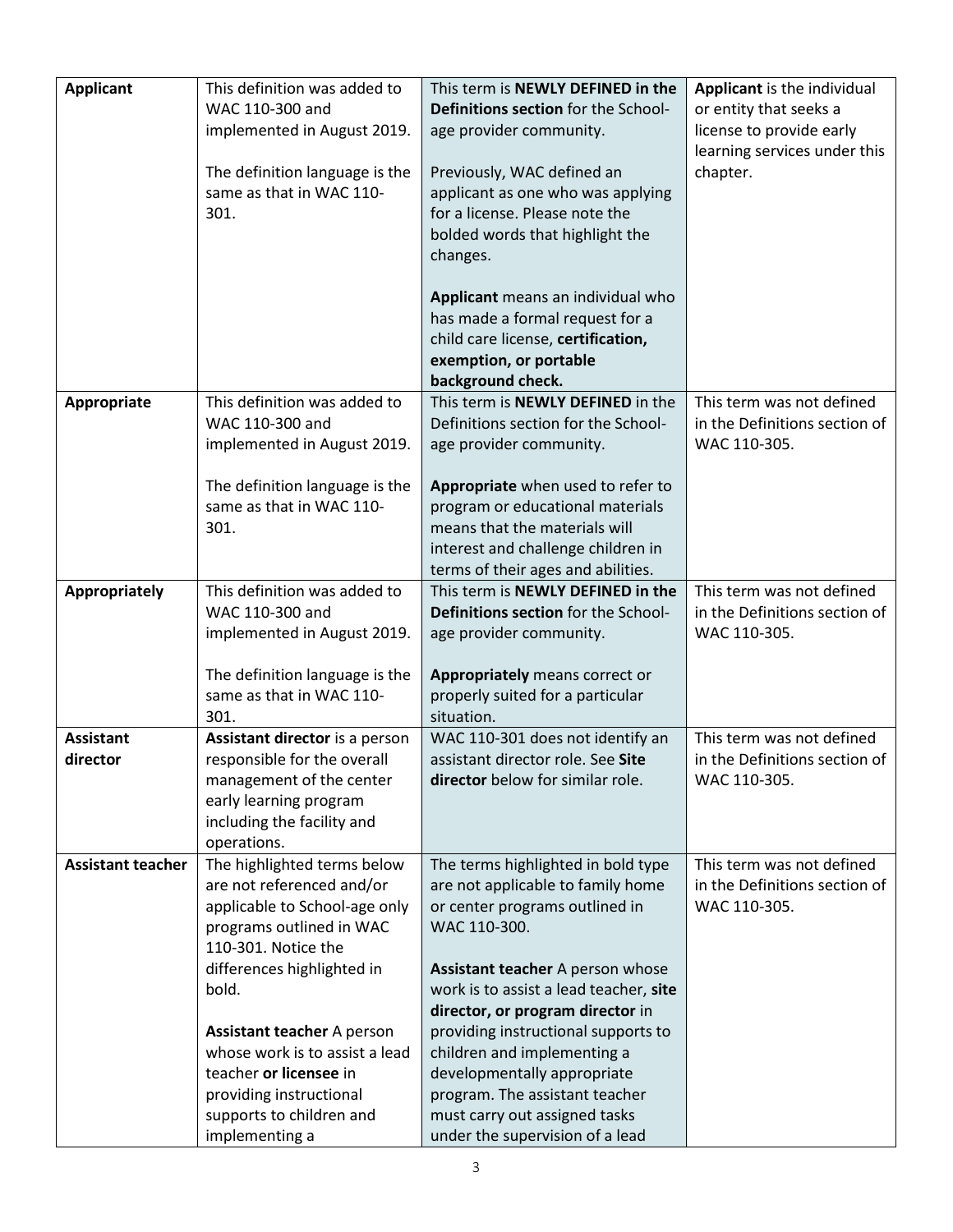| <b>Applicant</b>             | This definition was added to<br>WAC 110-300 and<br>implemented in August 2019.<br>The definition language is the<br>same as that in WAC 110-<br>301.                                                                                                                                                                                                          | This term is NEWLY DEFINED in the<br>Definitions section for the School-<br>age provider community.<br>Previously, WAC defined an<br>applicant as one who was applying<br>for a license. Please note the<br>bolded words that highlight the<br>changes.<br>Applicant means an individual who<br>has made a formal request for a<br>child care license, certification,<br>exemption, or portable<br>background check.                                   | Applicant is the individual<br>or entity that seeks a<br>license to provide early<br>learning services under this<br>chapter. |
|------------------------------|---------------------------------------------------------------------------------------------------------------------------------------------------------------------------------------------------------------------------------------------------------------------------------------------------------------------------------------------------------------|--------------------------------------------------------------------------------------------------------------------------------------------------------------------------------------------------------------------------------------------------------------------------------------------------------------------------------------------------------------------------------------------------------------------------------------------------------|-------------------------------------------------------------------------------------------------------------------------------|
| Appropriate                  | This definition was added to<br>WAC 110-300 and<br>implemented in August 2019.<br>The definition language is the<br>same as that in WAC 110-<br>301.                                                                                                                                                                                                          | This term is NEWLY DEFINED in the<br>Definitions section for the School-<br>age provider community.<br>Appropriate when used to refer to<br>program or educational materials<br>means that the materials will<br>interest and challenge children in<br>terms of their ages and abilities.                                                                                                                                                              | This term was not defined<br>in the Definitions section of<br>WAC 110-305.                                                    |
| Appropriately                | This definition was added to<br>WAC 110-300 and<br>implemented in August 2019.<br>The definition language is the<br>same as that in WAC 110-<br>301.                                                                                                                                                                                                          | This term is NEWLY DEFINED in the<br>Definitions section for the School-<br>age provider community.<br>Appropriately means correct or<br>properly suited for a particular<br>situation.                                                                                                                                                                                                                                                                | This term was not defined<br>in the Definitions section of<br>WAC 110-305.                                                    |
| <b>Assistant</b><br>director | Assistant director is a person<br>responsible for the overall<br>management of the center<br>early learning program<br>including the facility and<br>operations.                                                                                                                                                                                              | WAC 110-301 does not identify an<br>assistant director role. See Site<br>director below for similar role.                                                                                                                                                                                                                                                                                                                                              | This term was not defined<br>in the Definitions section of<br>WAC 110-305.                                                    |
| <b>Assistant teacher</b>     | The highlighted terms below<br>are not referenced and/or<br>applicable to School-age only<br>programs outlined in WAC<br>110-301. Notice the<br>differences highlighted in<br>bold.<br><b>Assistant teacher A person</b><br>whose work is to assist a lead<br>teacher or licensee in<br>providing instructional<br>supports to children and<br>implementing a | The terms highlighted in bold type<br>are not applicable to family home<br>or center programs outlined in<br>WAC 110-300.<br>Assistant teacher A person whose<br>work is to assist a lead teacher, site<br>director, or program director in<br>providing instructional supports to<br>children and implementing a<br>developmentally appropriate<br>program. The assistant teacher<br>must carry out assigned tasks<br>under the supervision of a lead | This term was not defined<br>in the Definitions section of<br>WAC 110-305.                                                    |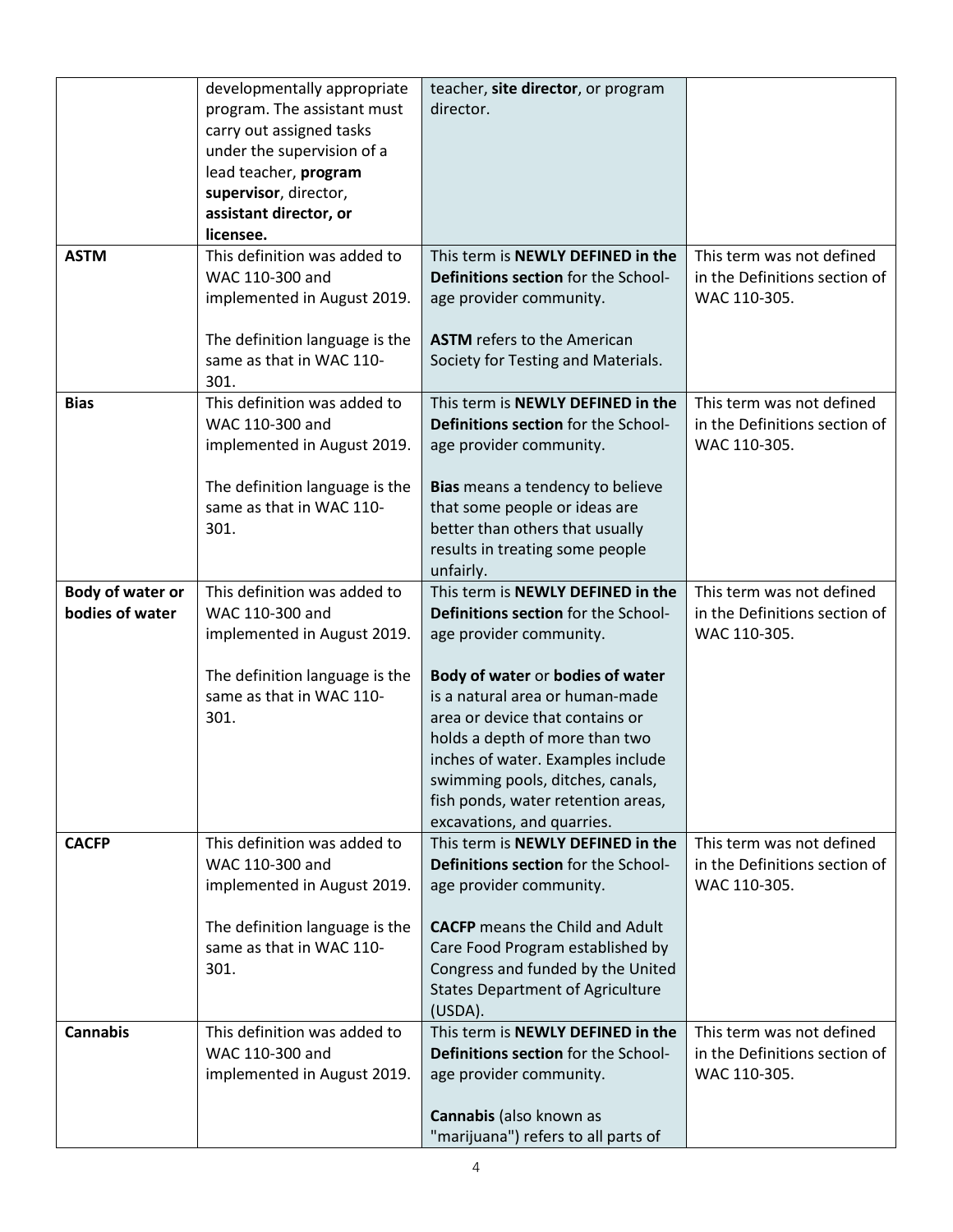|                                     | developmentally appropriate<br>program. The assistant must<br>carry out assigned tasks<br>under the supervision of a | teacher, site director, or program<br>director.                                                                                                                                                                                                                                       |                                                                            |
|-------------------------------------|----------------------------------------------------------------------------------------------------------------------|---------------------------------------------------------------------------------------------------------------------------------------------------------------------------------------------------------------------------------------------------------------------------------------|----------------------------------------------------------------------------|
|                                     | lead teacher, program<br>supervisor, director,<br>assistant director, or<br>licensee.                                |                                                                                                                                                                                                                                                                                       |                                                                            |
| <b>ASTM</b>                         | This definition was added to<br>WAC 110-300 and<br>implemented in August 2019.                                       | This term is NEWLY DEFINED in the<br><b>Definitions section for the School-</b><br>age provider community.                                                                                                                                                                            | This term was not defined<br>in the Definitions section of<br>WAC 110-305. |
|                                     | The definition language is the<br>same as that in WAC 110-<br>301.                                                   | <b>ASTM</b> refers to the American<br>Society for Testing and Materials.                                                                                                                                                                                                              |                                                                            |
| <b>Bias</b>                         | This definition was added to<br>WAC 110-300 and<br>implemented in August 2019.                                       | This term is NEWLY DEFINED in the<br>Definitions section for the School-<br>age provider community.                                                                                                                                                                                   | This term was not defined<br>in the Definitions section of<br>WAC 110-305. |
|                                     | The definition language is the<br>same as that in WAC 110-<br>301.                                                   | Bias means a tendency to believe<br>that some people or ideas are<br>better than others that usually<br>results in treating some people<br>unfairly.                                                                                                                                  |                                                                            |
| Body of water or<br>bodies of water | This definition was added to<br>WAC 110-300 and<br>implemented in August 2019.                                       | This term is NEWLY DEFINED in the<br>Definitions section for the School-<br>age provider community.                                                                                                                                                                                   | This term was not defined<br>in the Definitions section of<br>WAC 110-305. |
|                                     | The definition language is the<br>same as that in WAC 110-<br>301.                                                   | Body of water or bodies of water<br>is a natural area or human-made<br>area or device that contains or<br>holds a depth of more than two<br>inches of water. Examples include<br>swimming pools, ditches, canals,<br>fish ponds, water retention areas,<br>excavations, and quarries. |                                                                            |
| <b>CACFP</b>                        | This definition was added to<br>WAC 110-300 and<br>implemented in August 2019.                                       | This term is NEWLY DEFINED in the<br>Definitions section for the School-<br>age provider community.                                                                                                                                                                                   | This term was not defined<br>in the Definitions section of<br>WAC 110-305. |
|                                     | The definition language is the<br>same as that in WAC 110-<br>301.                                                   | <b>CACFP</b> means the Child and Adult<br>Care Food Program established by<br>Congress and funded by the United<br><b>States Department of Agriculture</b><br>(USDA).                                                                                                                 |                                                                            |
| <b>Cannabis</b>                     | This definition was added to<br>WAC 110-300 and<br>implemented in August 2019.                                       | This term is NEWLY DEFINED in the<br>Definitions section for the School-<br>age provider community.<br>Cannabis (also known as                                                                                                                                                        | This term was not defined<br>in the Definitions section of<br>WAC 110-305. |
|                                     |                                                                                                                      | "marijuana") refers to all parts of                                                                                                                                                                                                                                                   |                                                                            |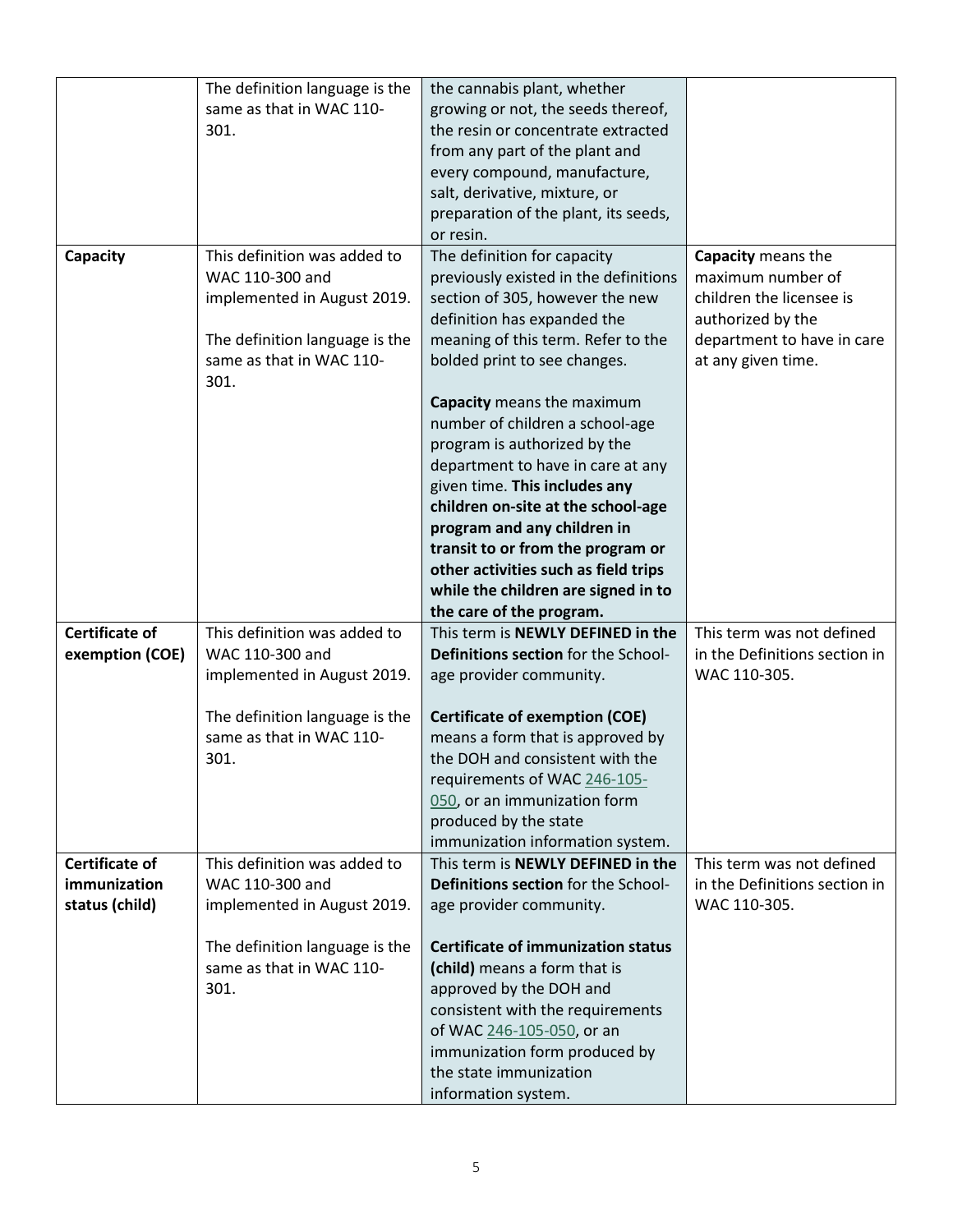|                       | The definition language is the   | the cannabis plant, whether               |                               |
|-----------------------|----------------------------------|-------------------------------------------|-------------------------------|
|                       | same as that in WAC 110-         | growing or not, the seeds thereof,        |                               |
|                       | 301.                             | the resin or concentrate extracted        |                               |
|                       |                                  | from any part of the plant and            |                               |
|                       |                                  | every compound, manufacture,              |                               |
|                       |                                  | salt, derivative, mixture, or             |                               |
|                       |                                  | preparation of the plant, its seeds,      |                               |
|                       |                                  | or resin.                                 |                               |
|                       | This definition was added to     | The definition for capacity               | Capacity means the            |
| Capacity              |                                  |                                           |                               |
|                       | WAC 110-300 and                  | previously existed in the definitions     | maximum number of             |
|                       | implemented in August 2019.      | section of 305, however the new           | children the licensee is      |
|                       |                                  | definition has expanded the               | authorized by the             |
|                       | The definition language is the   | meaning of this term. Refer to the        | department to have in care    |
|                       | same as that in WAC 110-<br>301. | bolded print to see changes.              | at any given time.            |
|                       |                                  | Capacity means the maximum                |                               |
|                       |                                  | number of children a school-age           |                               |
|                       |                                  | program is authorized by the              |                               |
|                       |                                  | department to have in care at any         |                               |
|                       |                                  | given time. This includes any             |                               |
|                       |                                  | children on-site at the school-age        |                               |
|                       |                                  |                                           |                               |
|                       |                                  | program and any children in               |                               |
|                       |                                  | transit to or from the program or         |                               |
|                       |                                  | other activities such as field trips      |                               |
|                       |                                  | while the children are signed in to       |                               |
|                       |                                  | the care of the program.                  |                               |
| <b>Certificate of</b> | This definition was added to     | This term is NEWLY DEFINED in the         | This term was not defined     |
| exemption (COE)       | WAC 110-300 and                  | Definitions section for the School-       | in the Definitions section in |
|                       | implemented in August 2019.      | age provider community.                   | WAC 110-305.                  |
|                       | The definition language is the   | <b>Certificate of exemption (COE)</b>     |                               |
|                       | same as that in WAC 110-         | means a form that is approved by          |                               |
|                       | 301.                             | the DOH and consistent with the           |                               |
|                       |                                  | requirements of WAC 246-105-              |                               |
|                       |                                  | 050, or an immunization form              |                               |
|                       |                                  | produced by the state                     |                               |
|                       |                                  | immunization information system.          |                               |
| <b>Certificate of</b> | This definition was added to     | This term is NEWLY DEFINED in the         | This term was not defined     |
| immunization          | WAC 110-300 and                  | Definitions section for the School-       | in the Definitions section in |
| status (child)        | implemented in August 2019.      | age provider community.                   | WAC 110-305.                  |
|                       |                                  |                                           |                               |
|                       | The definition language is the   | <b>Certificate of immunization status</b> |                               |
|                       | same as that in WAC 110-         | (child) means a form that is              |                               |
|                       | 301.                             | approved by the DOH and                   |                               |
|                       |                                  | consistent with the requirements          |                               |
|                       |                                  | of WAC 246-105-050, or an                 |                               |
|                       |                                  | immunization form produced by             |                               |
|                       |                                  | the state immunization                    |                               |
|                       |                                  | information system.                       |                               |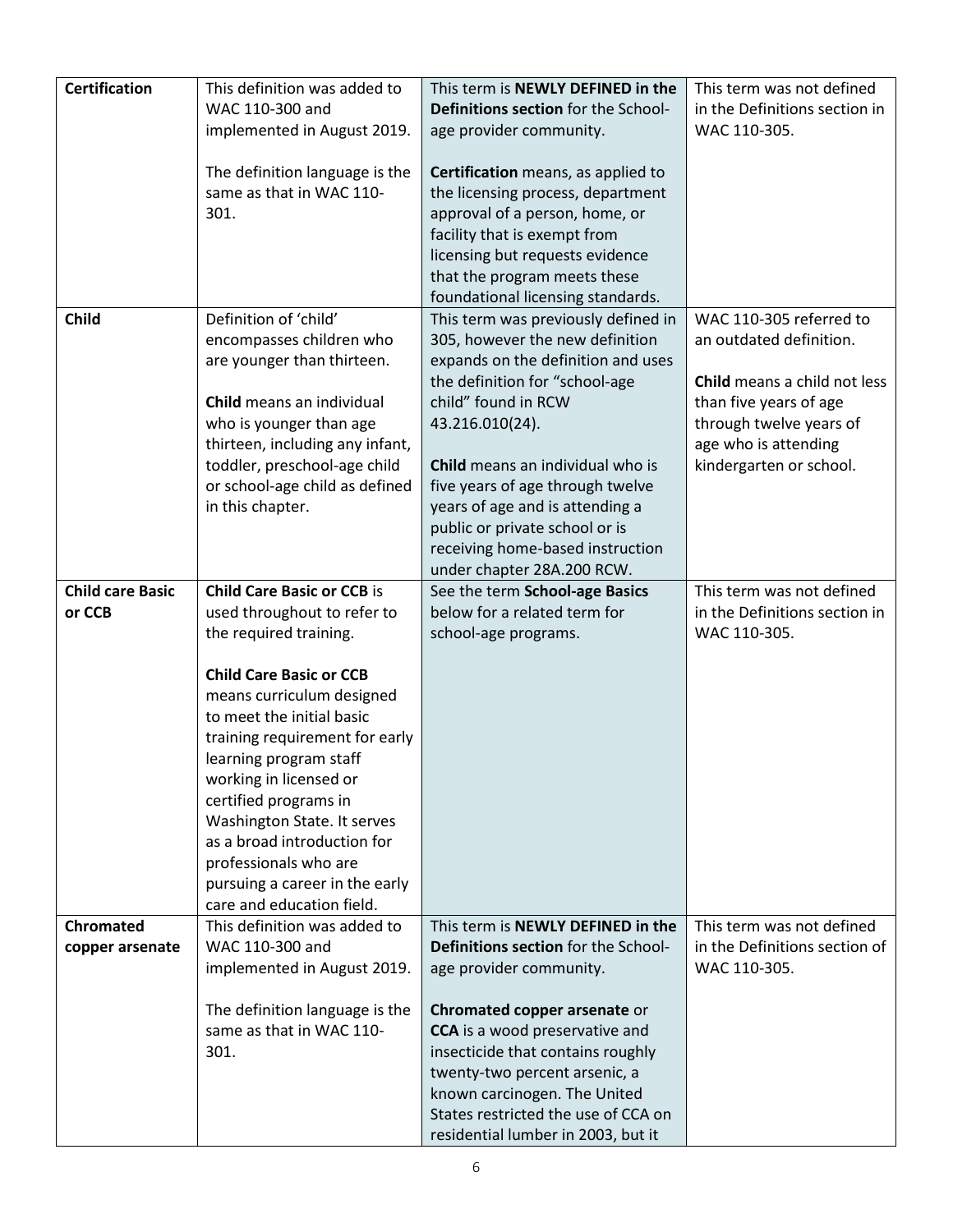| <b>Certification</b>    | This definition was added to<br>WAC 110-300 and             | This term is NEWLY DEFINED in the<br>Definitions section for the School- | This term was not defined<br>in the Definitions section in |
|-------------------------|-------------------------------------------------------------|--------------------------------------------------------------------------|------------------------------------------------------------|
|                         | implemented in August 2019.                                 | age provider community.                                                  | WAC 110-305.                                               |
|                         |                                                             |                                                                          |                                                            |
|                         | The definition language is the<br>same as that in WAC 110-  | Certification means, as applied to<br>the licensing process, department  |                                                            |
|                         | 301.                                                        | approval of a person, home, or                                           |                                                            |
|                         |                                                             | facility that is exempt from                                             |                                                            |
|                         |                                                             | licensing but requests evidence                                          |                                                            |
|                         |                                                             | that the program meets these                                             |                                                            |
|                         |                                                             | foundational licensing standards.                                        |                                                            |
| <b>Child</b>            | Definition of 'child'                                       | This term was previously defined in                                      | WAC 110-305 referred to                                    |
|                         | encompasses children who                                    | 305, however the new definition                                          | an outdated definition.                                    |
|                         | are younger than thirteen.                                  | expands on the definition and uses                                       | Child means a child not less                               |
|                         | Child means an individual                                   | the definition for "school-age<br>child" found in RCW                    | than five years of age                                     |
|                         | who is younger than age                                     | 43.216.010(24).                                                          | through twelve years of                                    |
|                         | thirteen, including any infant,                             |                                                                          | age who is attending                                       |
|                         | toddler, preschool-age child                                | Child means an individual who is                                         | kindergarten or school.                                    |
|                         | or school-age child as defined                              | five years of age through twelve                                         |                                                            |
|                         | in this chapter.                                            | years of age and is attending a                                          |                                                            |
|                         |                                                             | public or private school or is                                           |                                                            |
|                         |                                                             | receiving home-based instruction<br>under chapter 28A.200 RCW.           |                                                            |
| <b>Child care Basic</b> | <b>Child Care Basic or CCB is</b>                           | See the term School-age Basics                                           | This term was not defined                                  |
| or CCB                  | used throughout to refer to                                 | below for a related term for                                             | in the Definitions section in                              |
|                         | the required training.                                      | school-age programs.                                                     | WAC 110-305.                                               |
|                         |                                                             |                                                                          |                                                            |
|                         | <b>Child Care Basic or CCB</b><br>means curriculum designed |                                                                          |                                                            |
|                         | to meet the initial basic                                   |                                                                          |                                                            |
|                         | training requirement for early                              |                                                                          |                                                            |
|                         | learning program staff                                      |                                                                          |                                                            |
|                         | working in licensed or                                      |                                                                          |                                                            |
|                         | certified programs in                                       |                                                                          |                                                            |
|                         | Washington State. It serves                                 |                                                                          |                                                            |
|                         | as a broad introduction for<br>professionals who are        |                                                                          |                                                            |
|                         | pursuing a career in the early                              |                                                                          |                                                            |
|                         | care and education field.                                   |                                                                          |                                                            |
| <b>Chromated</b>        | This definition was added to                                | This term is NEWLY DEFINED in the                                        | This term was not defined                                  |
| copper arsenate         | WAC 110-300 and                                             | Definitions section for the School-                                      | in the Definitions section of                              |
|                         | implemented in August 2019.                                 | age provider community.                                                  | WAC 110-305.                                               |
|                         | The definition language is the                              | Chromated copper arsenate or                                             |                                                            |
|                         | same as that in WAC 110-                                    | <b>CCA</b> is a wood preservative and                                    |                                                            |
|                         | 301.                                                        | insecticide that contains roughly                                        |                                                            |
|                         |                                                             | twenty-two percent arsenic, a                                            |                                                            |
|                         |                                                             | known carcinogen. The United                                             |                                                            |
|                         |                                                             | States restricted the use of CCA on                                      |                                                            |
|                         |                                                             | residential lumber in 2003, but it                                       |                                                            |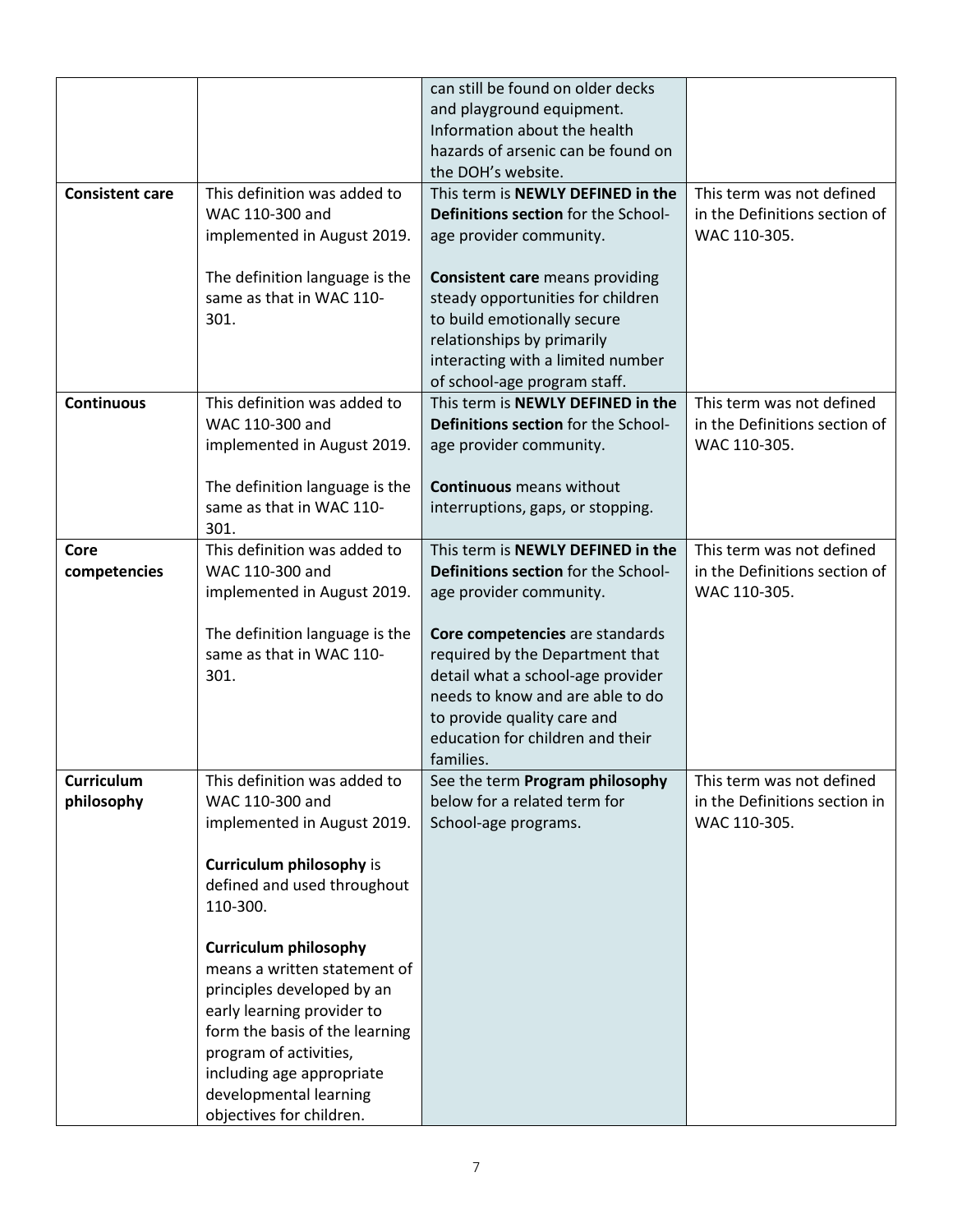|                        |                                 | can still be found on older decks      |                                               |
|------------------------|---------------------------------|----------------------------------------|-----------------------------------------------|
|                        |                                 | and playground equipment.              |                                               |
|                        |                                 | Information about the health           |                                               |
|                        |                                 | hazards of arsenic can be found on     |                                               |
|                        |                                 | the DOH's website.                     |                                               |
| <b>Consistent care</b> | This definition was added to    | This term is NEWLY DEFINED in the      | This term was not defined                     |
|                        | WAC 110-300 and                 | Definitions section for the School-    | in the Definitions section of                 |
|                        | implemented in August 2019.     | age provider community.                | WAC 110-305.                                  |
|                        |                                 |                                        |                                               |
|                        | The definition language is the  | <b>Consistent care</b> means providing |                                               |
|                        | same as that in WAC 110-        | steady opportunities for children      |                                               |
|                        | 301.                            | to build emotionally secure            |                                               |
|                        |                                 | relationships by primarily             |                                               |
|                        |                                 | interacting with a limited number      |                                               |
|                        |                                 | of school-age program staff.           |                                               |
| <b>Continuous</b>      | This definition was added to    | This term is NEWLY DEFINED in the      | This term was not defined                     |
|                        | WAC 110-300 and                 | Definitions section for the School-    | in the Definitions section of                 |
|                        | implemented in August 2019.     | age provider community.                | WAC 110-305.                                  |
|                        |                                 |                                        |                                               |
|                        | The definition language is the  | <b>Continuous</b> means without        |                                               |
|                        | same as that in WAC 110-        | interruptions, gaps, or stopping.      |                                               |
|                        | 301.                            |                                        |                                               |
| Core                   | This definition was added to    | This term is NEWLY DEFINED in the      | This term was not defined                     |
| competencies           | WAC 110-300 and                 | Definitions section for the School-    | in the Definitions section of<br>WAC 110-305. |
|                        | implemented in August 2019.     | age provider community.                |                                               |
|                        | The definition language is the  | Core competencies are standards        |                                               |
|                        | same as that in WAC 110-        | required by the Department that        |                                               |
|                        | 301.                            | detail what a school-age provider      |                                               |
|                        |                                 | needs to know and are able to do       |                                               |
|                        |                                 | to provide quality care and            |                                               |
|                        |                                 | education for children and their       |                                               |
|                        |                                 | families.                              |                                               |
| Curriculum             | This definition was added to    | See the term Program philosophy        | This term was not defined                     |
| philosophy             | WAC 110-300 and                 | below for a related term for           | in the Definitions section in                 |
|                        | implemented in August 2019.     | School-age programs.                   | WAC 110-305.                                  |
|                        |                                 |                                        |                                               |
|                        | <b>Curriculum philosophy is</b> |                                        |                                               |
|                        | defined and used throughout     |                                        |                                               |
|                        | 110-300.                        |                                        |                                               |
|                        |                                 |                                        |                                               |
|                        | <b>Curriculum philosophy</b>    |                                        |                                               |
|                        | means a written statement of    |                                        |                                               |
|                        | principles developed by an      |                                        |                                               |
|                        | early learning provider to      |                                        |                                               |
|                        | form the basis of the learning  |                                        |                                               |
|                        | program of activities,          |                                        |                                               |
|                        | including age appropriate       |                                        |                                               |
|                        | developmental learning          |                                        |                                               |
|                        | objectives for children.        |                                        |                                               |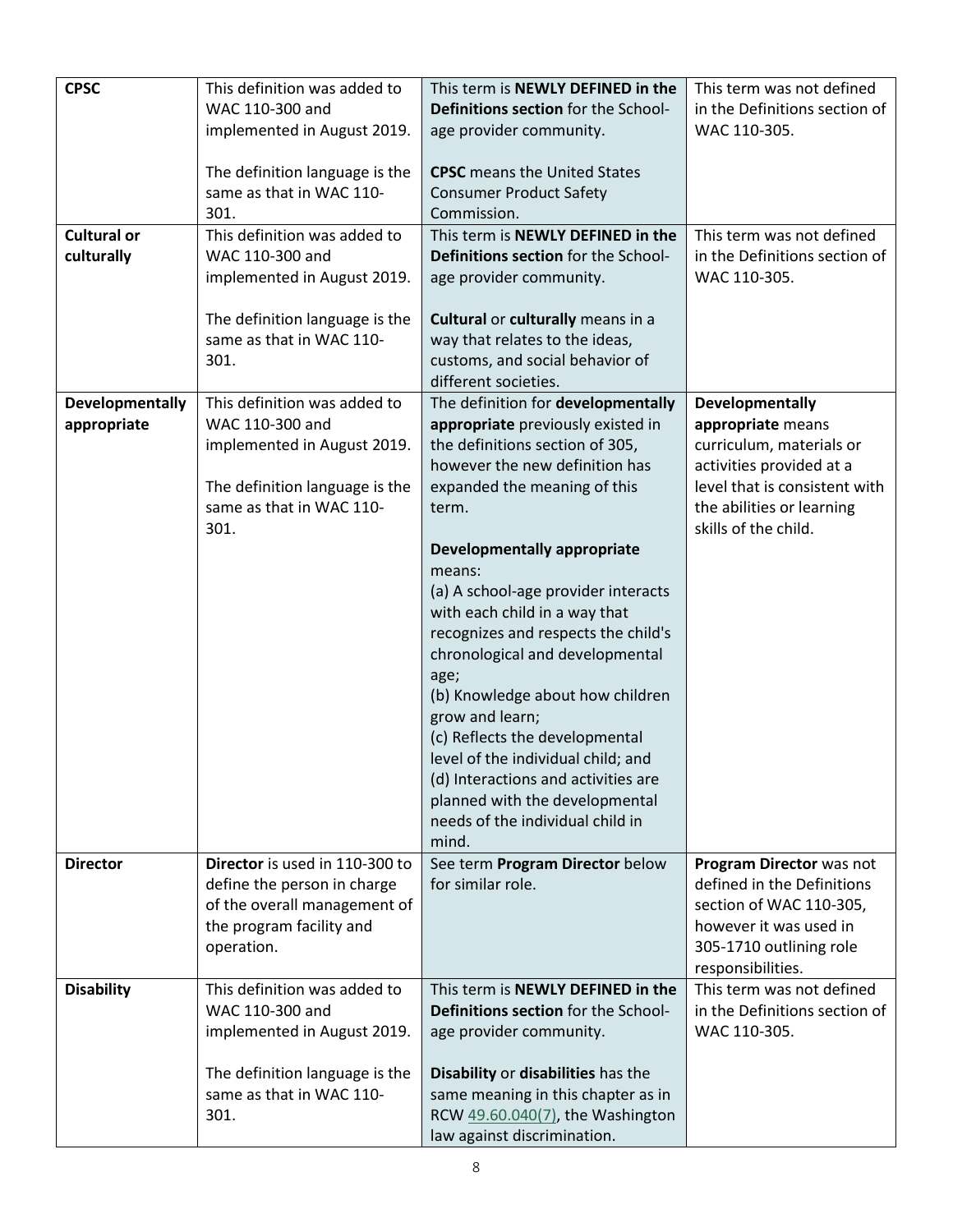| <b>CPSC</b>        | This definition was added to                    | This term is NEWLY DEFINED in the                                        | This term was not defined                                  |
|--------------------|-------------------------------------------------|--------------------------------------------------------------------------|------------------------------------------------------------|
|                    | WAC 110-300 and                                 | Definitions section for the School-                                      | in the Definitions section of                              |
|                    | implemented in August 2019.                     | age provider community.                                                  | WAC 110-305.                                               |
|                    |                                                 |                                                                          |                                                            |
|                    | The definition language is the                  | <b>CPSC</b> means the United States                                      |                                                            |
|                    | same as that in WAC 110-                        | <b>Consumer Product Safety</b>                                           |                                                            |
|                    | 301.                                            | Commission.                                                              |                                                            |
| <b>Cultural or</b> | This definition was added to                    | This term is NEWLY DEFINED in the                                        | This term was not defined                                  |
| culturally         | WAC 110-300 and                                 | Definitions section for the School-                                      | in the Definitions section of                              |
|                    | implemented in August 2019.                     | age provider community.                                                  | WAC 110-305.                                               |
|                    |                                                 |                                                                          |                                                            |
|                    | The definition language is the                  | Cultural or culturally means in a                                        |                                                            |
|                    | same as that in WAC 110-                        | way that relates to the ideas,                                           |                                                            |
|                    | 301.                                            | customs, and social behavior of                                          |                                                            |
|                    |                                                 | different societies.                                                     |                                                            |
| Developmentally    | This definition was added to                    | The definition for developmentally                                       | <b>Developmentally</b>                                     |
| appropriate        | WAC 110-300 and                                 | appropriate previously existed in                                        | appropriate means                                          |
|                    | implemented in August 2019.                     | the definitions section of 305,<br>however the new definition has        | curriculum, materials or                                   |
|                    | The definition language is the                  |                                                                          | activities provided at a<br>level that is consistent with  |
|                    | same as that in WAC 110-                        | expanded the meaning of this<br>term.                                    | the abilities or learning                                  |
|                    | 301.                                            |                                                                          | skills of the child.                                       |
|                    |                                                 | <b>Developmentally appropriate</b>                                       |                                                            |
|                    |                                                 | means:                                                                   |                                                            |
|                    |                                                 | (a) A school-age provider interacts                                      |                                                            |
|                    |                                                 | with each child in a way that                                            |                                                            |
|                    |                                                 | recognizes and respects the child's                                      |                                                            |
|                    |                                                 | chronological and developmental                                          |                                                            |
|                    |                                                 | age;                                                                     |                                                            |
|                    |                                                 | (b) Knowledge about how children                                         |                                                            |
|                    |                                                 | grow and learn;                                                          |                                                            |
|                    |                                                 | (c) Reflects the developmental                                           |                                                            |
|                    |                                                 | level of the individual child; and                                       |                                                            |
|                    |                                                 | (d) Interactions and activities are                                      |                                                            |
|                    |                                                 | planned with the developmental                                           |                                                            |
|                    |                                                 | needs of the individual child in                                         |                                                            |
|                    |                                                 | mind.                                                                    |                                                            |
| <b>Director</b>    | Director is used in 110-300 to                  | See term Program Director below                                          | Program Director was not                                   |
|                    | define the person in charge                     | for similar role.                                                        | defined in the Definitions                                 |
|                    | of the overall management of                    |                                                                          | section of WAC 110-305,                                    |
|                    | the program facility and                        |                                                                          | however it was used in                                     |
|                    | operation.                                      |                                                                          | 305-1710 outlining role                                    |
|                    |                                                 |                                                                          | responsibilities.                                          |
| <b>Disability</b>  | This definition was added to<br>WAC 110-300 and | This term is NEWLY DEFINED in the<br>Definitions section for the School- | This term was not defined<br>in the Definitions section of |
|                    |                                                 |                                                                          |                                                            |
|                    | implemented in August 2019.                     | age provider community.                                                  | WAC 110-305.                                               |
|                    | The definition language is the                  | Disability or disabilities has the                                       |                                                            |
|                    | same as that in WAC 110-                        | same meaning in this chapter as in                                       |                                                            |
|                    | 301.                                            | RCW 49.60.040(7), the Washington                                         |                                                            |
|                    |                                                 | law against discrimination.                                              |                                                            |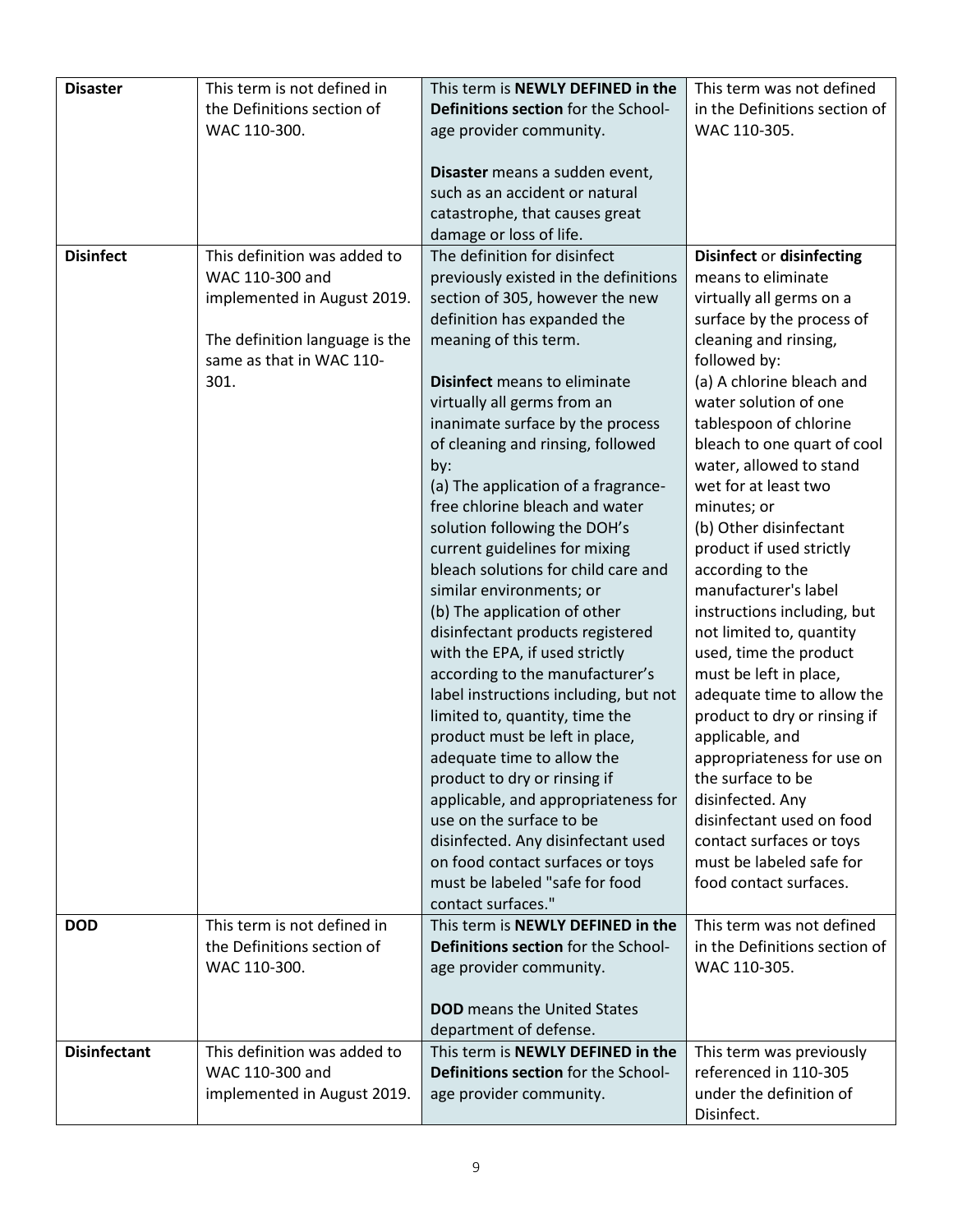| <b>Disaster</b>     | This term is not defined in    | This term is NEWLY DEFINED in the                                    | This term was not defined                          |
|---------------------|--------------------------------|----------------------------------------------------------------------|----------------------------------------------------|
|                     | the Definitions section of     | Definitions section for the School-                                  | in the Definitions section of                      |
|                     | WAC 110-300.                   | age provider community.                                              | WAC 110-305.                                       |
|                     |                                |                                                                      |                                                    |
|                     |                                | Disaster means a sudden event,                                       |                                                    |
|                     |                                | such as an accident or natural                                       |                                                    |
|                     |                                | catastrophe, that causes great                                       |                                                    |
|                     |                                | damage or loss of life.                                              |                                                    |
| <b>Disinfect</b>    | This definition was added to   | The definition for disinfect                                         | <b>Disinfect or disinfecting</b>                   |
|                     | WAC 110-300 and                | previously existed in the definitions                                | means to eliminate                                 |
|                     | implemented in August 2019.    | section of 305, however the new                                      | virtually all germs on a                           |
|                     |                                | definition has expanded the                                          | surface by the process of                          |
|                     | The definition language is the | meaning of this term.                                                | cleaning and rinsing,                              |
|                     | same as that in WAC 110-       |                                                                      | followed by:                                       |
|                     | 301.                           | Disinfect means to eliminate                                         | (a) A chlorine bleach and                          |
|                     |                                | virtually all germs from an                                          | water solution of one                              |
|                     |                                | inanimate surface by the process                                     | tablespoon of chlorine                             |
|                     |                                | of cleaning and rinsing, followed                                    | bleach to one quart of cool                        |
|                     |                                | by:                                                                  | water, allowed to stand                            |
|                     |                                | (a) The application of a fragrance-                                  | wet for at least two                               |
|                     |                                | free chlorine bleach and water                                       | minutes; or                                        |
|                     |                                | solution following the DOH's                                         | (b) Other disinfectant<br>product if used strictly |
|                     |                                | current guidelines for mixing<br>bleach solutions for child care and | according to the                                   |
|                     |                                | similar environments; or                                             | manufacturer's label                               |
|                     |                                | (b) The application of other                                         | instructions including, but                        |
|                     |                                | disinfectant products registered                                     | not limited to, quantity                           |
|                     |                                | with the EPA, if used strictly                                       | used, time the product                             |
|                     |                                | according to the manufacturer's                                      | must be left in place,                             |
|                     |                                | label instructions including, but not                                | adequate time to allow the                         |
|                     |                                | limited to, quantity, time the                                       | product to dry or rinsing if                       |
|                     |                                | product must be left in place,                                       | applicable, and                                    |
|                     |                                | adequate time to allow the                                           | appropriateness for use on                         |
|                     |                                | product to dry or rinsing if                                         | the surface to be                                  |
|                     |                                | applicable, and appropriateness for                                  | disinfected. Any                                   |
|                     |                                | use on the surface to be                                             | disinfectant used on food                          |
|                     |                                | disinfected. Any disinfectant used                                   | contact surfaces or toys                           |
|                     |                                | on food contact surfaces or toys                                     | must be labeled safe for                           |
|                     |                                | must be labeled "safe for food                                       | food contact surfaces.                             |
|                     |                                | contact surfaces."                                                   |                                                    |
| <b>DOD</b>          | This term is not defined in    | This term is NEWLY DEFINED in the                                    | This term was not defined                          |
|                     | the Definitions section of     | Definitions section for the School-                                  | in the Definitions section of                      |
|                     | WAC 110-300.                   | age provider community.                                              | WAC 110-305.                                       |
|                     |                                |                                                                      |                                                    |
|                     |                                | <b>DOD</b> means the United States                                   |                                                    |
|                     |                                | department of defense.                                               |                                                    |
| <b>Disinfectant</b> | This definition was added to   | This term is NEWLY DEFINED in the                                    | This term was previously                           |
|                     | WAC 110-300 and                | Definitions section for the School-                                  | referenced in 110-305                              |
|                     | implemented in August 2019.    | age provider community.                                              | under the definition of                            |
|                     |                                |                                                                      | Disinfect.                                         |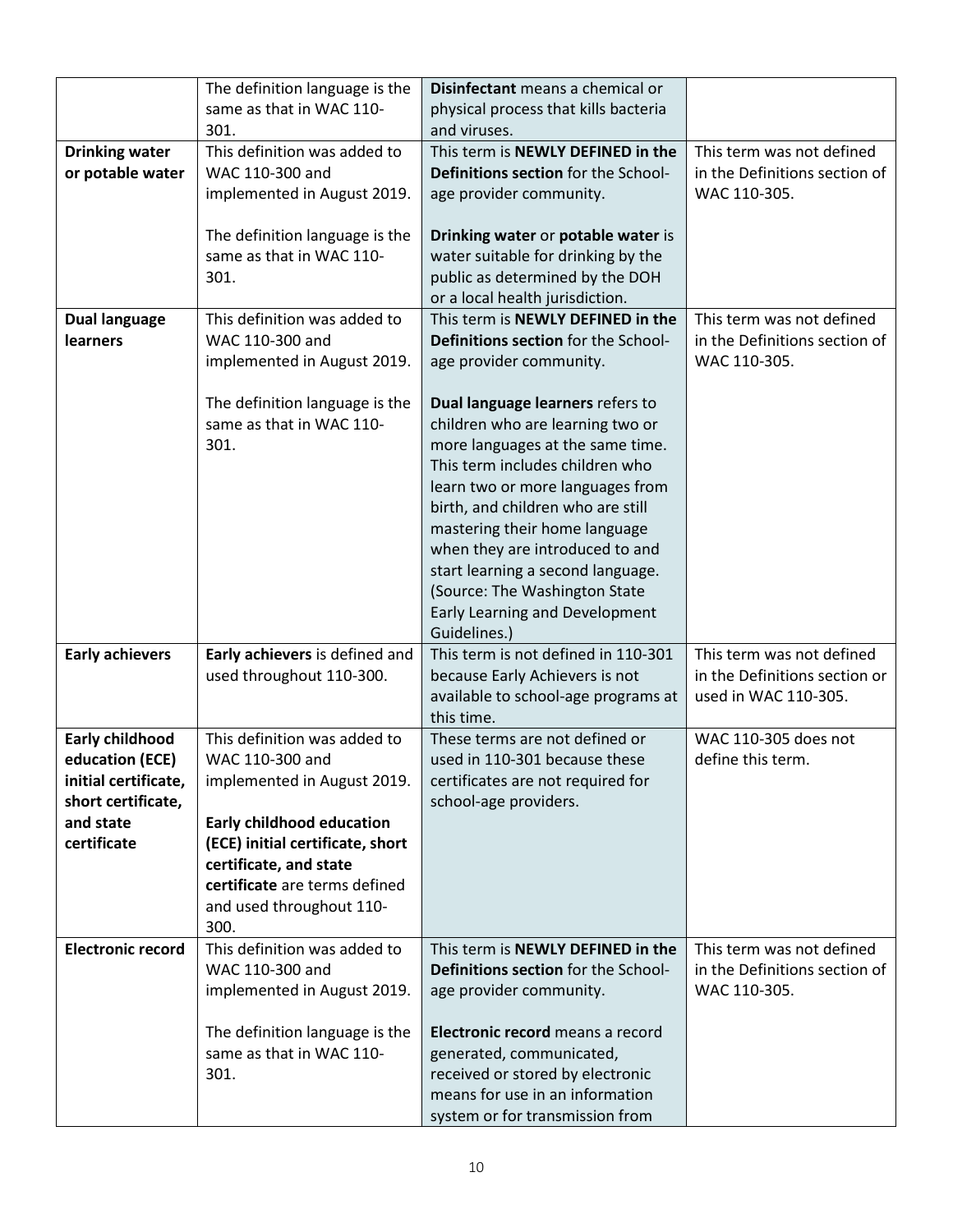|                                                                                                                     | The definition language is the<br>same as that in WAC 110-                                                                                                                                                                                            | Disinfectant means a chemical or<br>physical process that kills bacteria                                                                                                                                                                                                                                                                                                                                         |                                                                                    |
|---------------------------------------------------------------------------------------------------------------------|-------------------------------------------------------------------------------------------------------------------------------------------------------------------------------------------------------------------------------------------------------|------------------------------------------------------------------------------------------------------------------------------------------------------------------------------------------------------------------------------------------------------------------------------------------------------------------------------------------------------------------------------------------------------------------|------------------------------------------------------------------------------------|
|                                                                                                                     | 301.                                                                                                                                                                                                                                                  | and viruses.                                                                                                                                                                                                                                                                                                                                                                                                     |                                                                                    |
| <b>Drinking water</b><br>or potable water                                                                           | This definition was added to<br>WAC 110-300 and<br>implemented in August 2019.                                                                                                                                                                        | This term is NEWLY DEFINED in the<br>Definitions section for the School-<br>age provider community.                                                                                                                                                                                                                                                                                                              | This term was not defined<br>in the Definitions section of<br>WAC 110-305.         |
|                                                                                                                     | The definition language is the<br>same as that in WAC 110-<br>301.                                                                                                                                                                                    | Drinking water or potable water is<br>water suitable for drinking by the<br>public as determined by the DOH<br>or a local health jurisdiction.                                                                                                                                                                                                                                                                   |                                                                                    |
| <b>Dual language</b><br><b>learners</b>                                                                             | This definition was added to<br>WAC 110-300 and<br>implemented in August 2019.                                                                                                                                                                        | This term is NEWLY DEFINED in the<br>Definitions section for the School-<br>age provider community.                                                                                                                                                                                                                                                                                                              | This term was not defined<br>in the Definitions section of<br>WAC 110-305.         |
|                                                                                                                     | The definition language is the<br>same as that in WAC 110-<br>301.                                                                                                                                                                                    | Dual language learners refers to<br>children who are learning two or<br>more languages at the same time.<br>This term includes children who<br>learn two or more languages from<br>birth, and children who are still<br>mastering their home language<br>when they are introduced to and<br>start learning a second language.<br>(Source: The Washington State<br>Early Learning and Development<br>Guidelines.) |                                                                                    |
| <b>Early achievers</b>                                                                                              | Early achievers is defined and<br>used throughout 110-300.                                                                                                                                                                                            | This term is not defined in 110-301<br>because Early Achievers is not<br>available to school-age programs at<br>this time.                                                                                                                                                                                                                                                                                       | This term was not defined<br>in the Definitions section or<br>used in WAC 110-305. |
| <b>Early childhood</b><br>education (ECE)<br>initial certificate,<br>short certificate,<br>and state<br>certificate | This definition was added to<br>WAC 110-300 and<br>implemented in August 2019.<br><b>Early childhood education</b><br>(ECE) initial certificate, short<br>certificate, and state<br>certificate are terms defined<br>and used throughout 110-<br>300. | These terms are not defined or<br>used in 110-301 because these<br>certificates are not required for<br>school-age providers.                                                                                                                                                                                                                                                                                    | WAC 110-305 does not<br>define this term.                                          |
| <b>Electronic record</b>                                                                                            | This definition was added to<br>WAC 110-300 and<br>implemented in August 2019.                                                                                                                                                                        | This term is NEWLY DEFINED in the<br>Definitions section for the School-<br>age provider community.                                                                                                                                                                                                                                                                                                              | This term was not defined<br>in the Definitions section of<br>WAC 110-305.         |
|                                                                                                                     | The definition language is the<br>same as that in WAC 110-<br>301.                                                                                                                                                                                    | Electronic record means a record<br>generated, communicated,<br>received or stored by electronic<br>means for use in an information<br>system or for transmission from                                                                                                                                                                                                                                           |                                                                                    |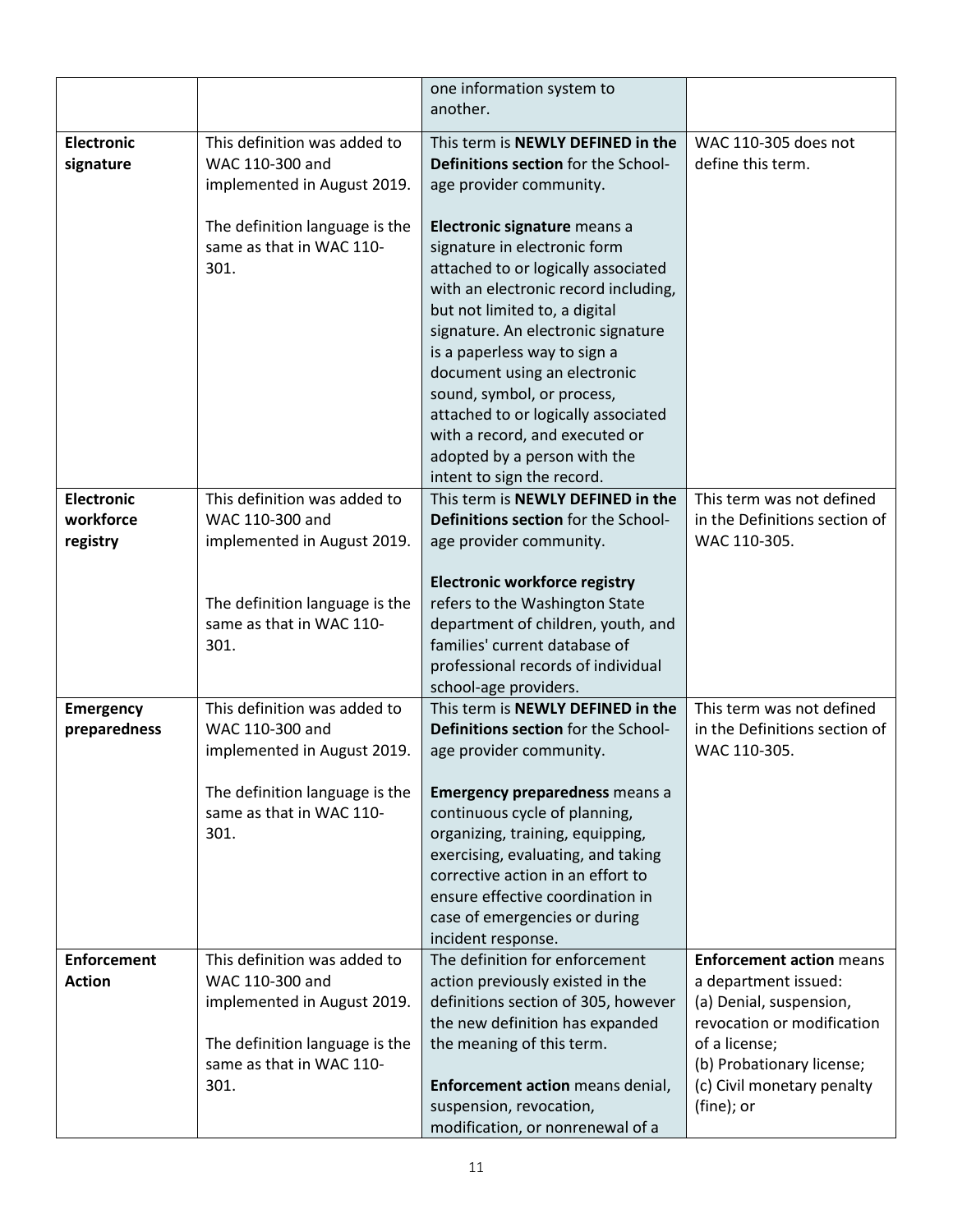|                                            |                                                                                | one information system to<br>another.                                                                                                                                                                                                                                                                                                                                                                                                                   |                                                                                                                  |
|--------------------------------------------|--------------------------------------------------------------------------------|---------------------------------------------------------------------------------------------------------------------------------------------------------------------------------------------------------------------------------------------------------------------------------------------------------------------------------------------------------------------------------------------------------------------------------------------------------|------------------------------------------------------------------------------------------------------------------|
| <b>Electronic</b><br>signature             | This definition was added to<br>WAC 110-300 and<br>implemented in August 2019. | This term is NEWLY DEFINED in the<br>Definitions section for the School-<br>age provider community.                                                                                                                                                                                                                                                                                                                                                     | WAC 110-305 does not<br>define this term.                                                                        |
|                                            | The definition language is the<br>same as that in WAC 110-<br>301.             | Electronic signature means a<br>signature in electronic form<br>attached to or logically associated<br>with an electronic record including,<br>but not limited to, a digital<br>signature. An electronic signature<br>is a paperless way to sign a<br>document using an electronic<br>sound, symbol, or process,<br>attached to or logically associated<br>with a record, and executed or<br>adopted by a person with the<br>intent to sign the record. |                                                                                                                  |
| <b>Electronic</b><br>workforce<br>registry | This definition was added to<br>WAC 110-300 and<br>implemented in August 2019. | This term is NEWLY DEFINED in the<br>Definitions section for the School-<br>age provider community.                                                                                                                                                                                                                                                                                                                                                     | This term was not defined<br>in the Definitions section of<br>WAC 110-305.                                       |
|                                            | The definition language is the<br>same as that in WAC 110-<br>301.             | <b>Electronic workforce registry</b><br>refers to the Washington State<br>department of children, youth, and<br>families' current database of<br>professional records of individual<br>school-age providers.                                                                                                                                                                                                                                            |                                                                                                                  |
| <b>Emergency</b><br>preparedness           | This definition was added to<br>WAC 110-300 and<br>implemented in August 2019. | This term is NEWLY DEFINED in the<br>Definitions section for the School-<br>age provider community.                                                                                                                                                                                                                                                                                                                                                     | This term was not defined<br>in the Definitions section of<br>WAC 110-305.                                       |
|                                            | The definition language is the<br>same as that in WAC 110-<br>301.             | <b>Emergency preparedness means a</b><br>continuous cycle of planning,<br>organizing, training, equipping,<br>exercising, evaluating, and taking<br>corrective action in an effort to<br>ensure effective coordination in<br>case of emergencies or during<br>incident response.                                                                                                                                                                        |                                                                                                                  |
| <b>Enforcement</b><br><b>Action</b>        | This definition was added to<br>WAC 110-300 and<br>implemented in August 2019. | The definition for enforcement<br>action previously existed in the<br>definitions section of 305, however<br>the new definition has expanded                                                                                                                                                                                                                                                                                                            | <b>Enforcement action means</b><br>a department issued:<br>(a) Denial, suspension,<br>revocation or modification |
|                                            | The definition language is the<br>same as that in WAC 110-<br>301.             | the meaning of this term.<br>Enforcement action means denial,<br>suspension, revocation,<br>modification, or nonrenewal of a                                                                                                                                                                                                                                                                                                                            | of a license;<br>(b) Probationary license;<br>(c) Civil monetary penalty<br>(fine); or                           |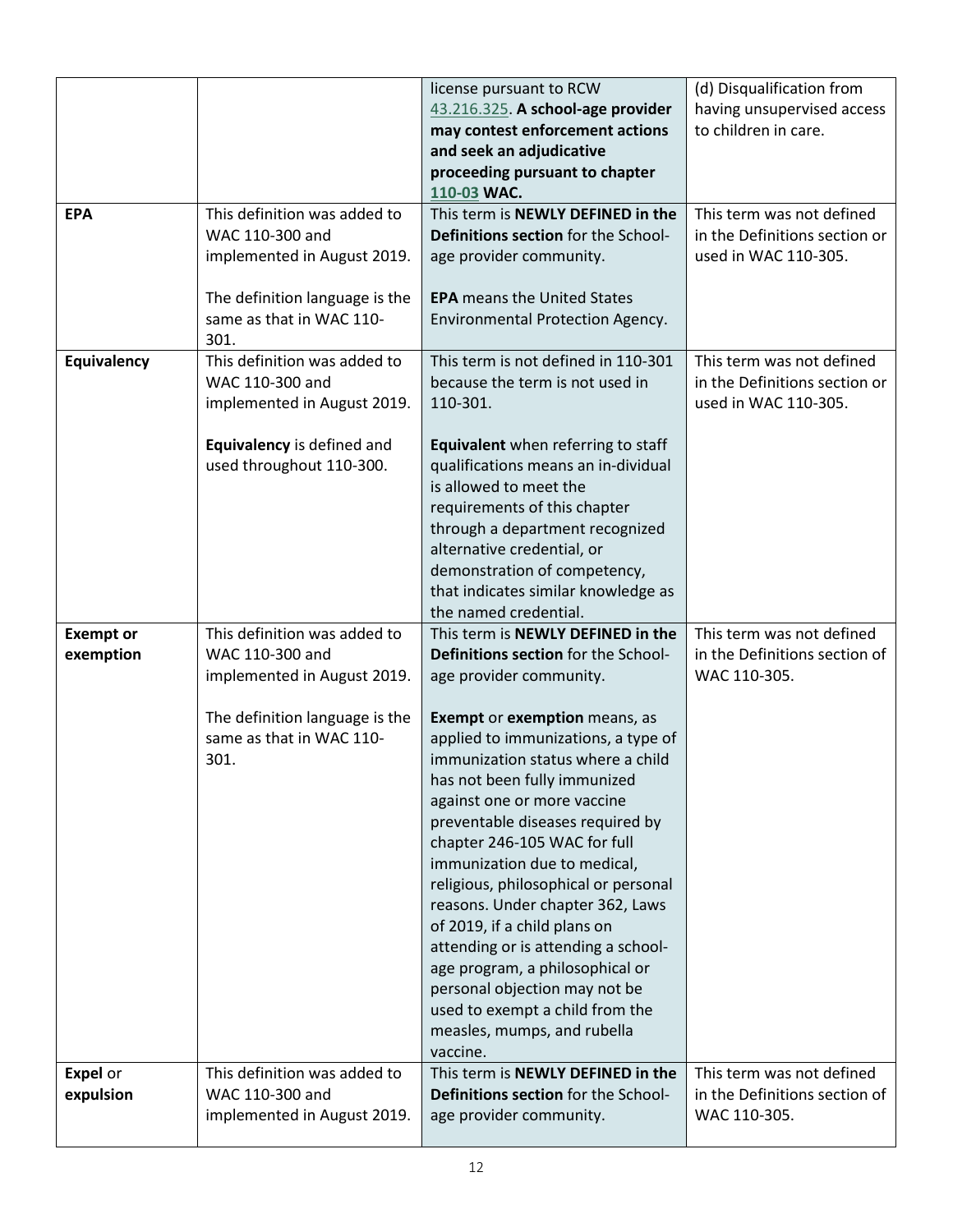|                  |                                  | license pursuant to RCW                                          | (d) Disqualification from                     |
|------------------|----------------------------------|------------------------------------------------------------------|-----------------------------------------------|
|                  |                                  | 43.216.325. A school-age provider                                | having unsupervised access                    |
|                  |                                  | may contest enforcement actions                                  | to children in care.                          |
|                  |                                  | and seek an adjudicative                                         |                                               |
|                  |                                  | proceeding pursuant to chapter<br>110-03 WAC.                    |                                               |
| <b>EPA</b>       | This definition was added to     | This term is NEWLY DEFINED in the                                | This term was not defined                     |
|                  | WAC 110-300 and                  | <b>Definitions section for the School-</b>                       | in the Definitions section or                 |
|                  | implemented in August 2019.      | age provider community.                                          | used in WAC 110-305.                          |
|                  |                                  |                                                                  |                                               |
|                  | The definition language is the   | <b>EPA</b> means the United States                               |                                               |
|                  | same as that in WAC 110-<br>301. | Environmental Protection Agency.                                 |                                               |
| Equivalency      | This definition was added to     | This term is not defined in 110-301                              | This term was not defined                     |
|                  | WAC 110-300 and                  | because the term is not used in                                  | in the Definitions section or                 |
|                  | implemented in August 2019.      | 110-301.                                                         | used in WAC 110-305.                          |
|                  |                                  |                                                                  |                                               |
|                  | Equivalency is defined and       | Equivalent when referring to staff                               |                                               |
|                  | used throughout 110-300.         | qualifications means an in-dividual                              |                                               |
|                  |                                  | is allowed to meet the<br>requirements of this chapter           |                                               |
|                  |                                  | through a department recognized                                  |                                               |
|                  |                                  | alternative credential, or                                       |                                               |
|                  |                                  | demonstration of competency,                                     |                                               |
|                  |                                  | that indicates similar knowledge as                              |                                               |
|                  |                                  | the named credential.                                            |                                               |
| <b>Exempt or</b> | This definition was added to     | This term is NEWLY DEFINED in the                                | This term was not defined                     |
| exemption        | WAC 110-300 and                  | Definitions section for the School-                              | in the Definitions section of<br>WAC 110-305. |
|                  | implemented in August 2019.      | age provider community.                                          |                                               |
|                  | The definition language is the   | Exempt or exemption means, as                                    |                                               |
|                  | same as that in WAC 110-         | applied to immunizations, a type of                              |                                               |
|                  | 301.                             | immunization status where a child                                |                                               |
|                  |                                  | has not been fully immunized                                     |                                               |
|                  |                                  | against one or more vaccine                                      |                                               |
|                  |                                  | preventable diseases required by<br>chapter 246-105 WAC for full |                                               |
|                  |                                  | immunization due to medical,                                     |                                               |
|                  |                                  | religious, philosophical or personal                             |                                               |
|                  |                                  | reasons. Under chapter 362, Laws                                 |                                               |
|                  |                                  | of 2019, if a child plans on                                     |                                               |
|                  |                                  | attending or is attending a school-                              |                                               |
|                  |                                  | age program, a philosophical or                                  |                                               |
|                  |                                  | personal objection may not be<br>used to exempt a child from the |                                               |
|                  |                                  | measles, mumps, and rubella                                      |                                               |
|                  |                                  | vaccine.                                                         |                                               |
| <b>Expel</b> or  | This definition was added to     | This term is NEWLY DEFINED in the                                | This term was not defined                     |
| expulsion        | WAC 110-300 and                  | Definitions section for the School-                              | in the Definitions section of                 |
|                  | implemented in August 2019.      | age provider community.                                          | WAC 110-305.                                  |
|                  |                                  |                                                                  |                                               |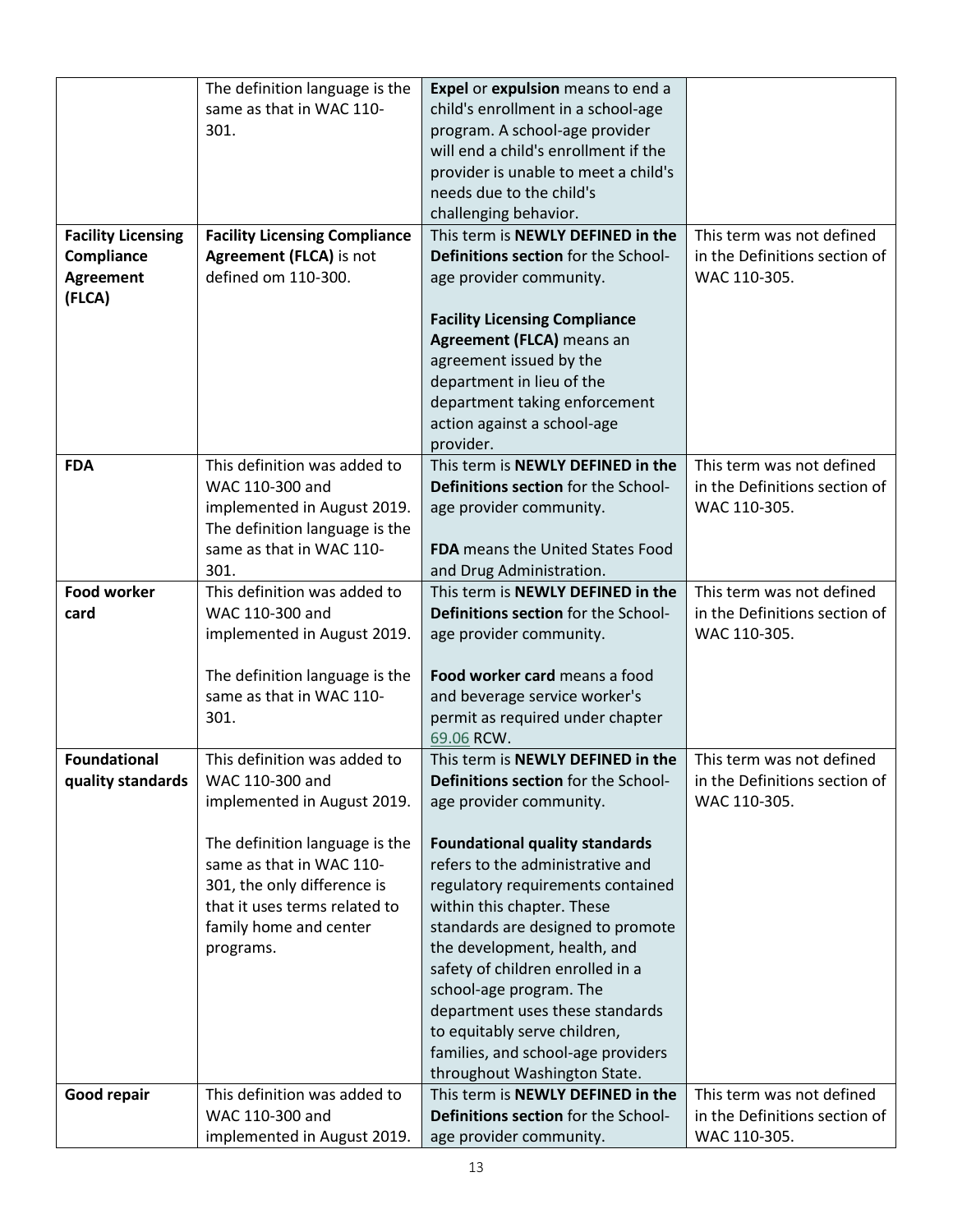|                           | The definition language is the       | Expel or expulsion means to end a        |                               |
|---------------------------|--------------------------------------|------------------------------------------|-------------------------------|
|                           | same as that in WAC 110-             | child's enrollment in a school-age       |                               |
|                           | 301.                                 | program. A school-age provider           |                               |
|                           |                                      | will end a child's enrollment if the     |                               |
|                           |                                      | provider is unable to meet a child's     |                               |
|                           |                                      | needs due to the child's                 |                               |
|                           |                                      | challenging behavior.                    |                               |
| <b>Facility Licensing</b> | <b>Facility Licensing Compliance</b> | This term is NEWLY DEFINED in the        | This term was not defined     |
| Compliance                | Agreement (FLCA) is not              | Definitions section for the School-      | in the Definitions section of |
| <b>Agreement</b>          | defined om 110-300.                  | age provider community.                  | WAC 110-305.                  |
| (FLCA)                    |                                      |                                          |                               |
|                           |                                      | <b>Facility Licensing Compliance</b>     |                               |
|                           |                                      | Agreement (FLCA) means an                |                               |
|                           |                                      | agreement issued by the                  |                               |
|                           |                                      | department in lieu of the                |                               |
|                           |                                      | department taking enforcement            |                               |
|                           |                                      | action against a school-age              |                               |
|                           |                                      | provider.                                |                               |
| <b>FDA</b>                | This definition was added to         | This term is NEWLY DEFINED in the        | This term was not defined     |
|                           | WAC 110-300 and                      | Definitions section for the School-      | in the Definitions section of |
|                           | implemented in August 2019.          | age provider community.                  | WAC 110-305.                  |
|                           | The definition language is the       |                                          |                               |
|                           | same as that in WAC 110-             | <b>FDA</b> means the United States Food  |                               |
|                           | 301.                                 | and Drug Administration.                 |                               |
| <b>Food worker</b>        | This definition was added to         | This term is <b>NEWLY DEFINED in the</b> | This term was not defined     |
| card                      | WAC 110-300 and                      | Definitions section for the School-      | in the Definitions section of |
|                           | implemented in August 2019.          | age provider community.                  | WAC 110-305.                  |
|                           |                                      |                                          |                               |
|                           | The definition language is the       | Food worker card means a food            |                               |
|                           | same as that in WAC 110-             | and beverage service worker's            |                               |
|                           | 301.                                 | permit as required under chapter         |                               |
|                           |                                      | 69.06 RCW.                               |                               |
| <b>Foundational</b>       | This definition was added to         | This term is NEWLY DEFINED in the        | This term was not defined     |
| quality standards         | WAC 110-300 and                      | Definitions section for the School-      | in the Definitions section of |
|                           | implemented in August 2019.          | age provider community.                  | WAC 110-305.                  |
|                           |                                      |                                          |                               |
|                           | The definition language is the       | <b>Foundational quality standards</b>    |                               |
|                           | same as that in WAC 110-             | refers to the administrative and         |                               |
|                           | 301, the only difference is          | regulatory requirements contained        |                               |
|                           | that it uses terms related to        | within this chapter. These               |                               |
|                           | family home and center               | standards are designed to promote        |                               |
|                           | programs.                            | the development, health, and             |                               |
|                           |                                      | safety of children enrolled in a         |                               |
|                           |                                      | school-age program. The                  |                               |
|                           |                                      | department uses these standards          |                               |
|                           |                                      | to equitably serve children,             |                               |
|                           |                                      | families, and school-age providers       |                               |
|                           |                                      | throughout Washington State.             |                               |
| Good repair               | This definition was added to         | This term is NEWLY DEFINED in the        | This term was not defined     |
|                           | WAC 110-300 and                      | Definitions section for the School-      | in the Definitions section of |
|                           | implemented in August 2019.          | age provider community.                  | WAC 110-305.                  |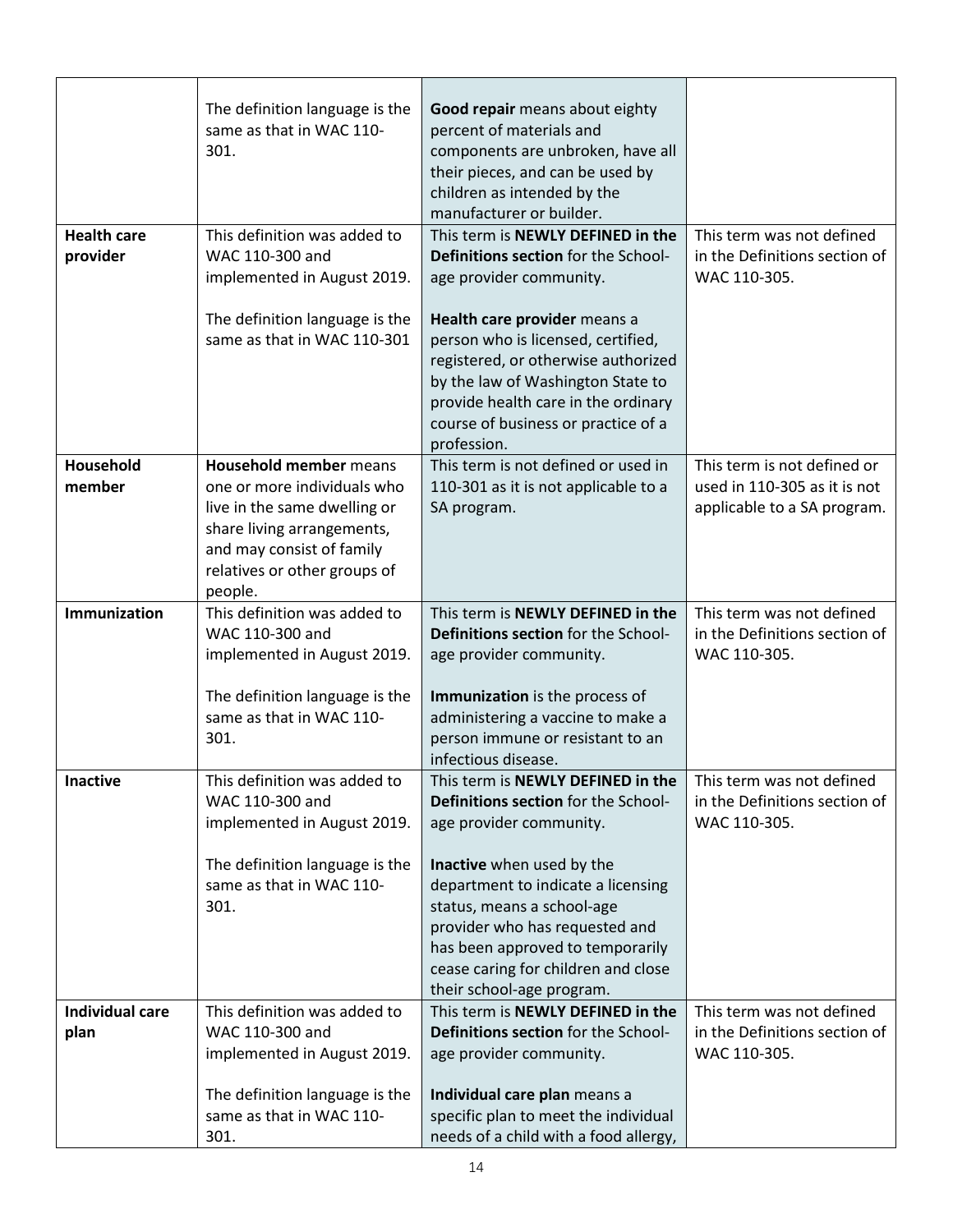| <b>Health care</b>             | The definition language is the<br>same as that in WAC 110-<br>301.<br>This definition was added to                                                                                                 | Good repair means about eighty<br>percent of materials and<br>components are unbroken, have all<br>their pieces, and can be used by<br>children as intended by the<br>manufacturer or builder.<br>This term is NEWLY DEFINED in the         | This term was not defined                                                                  |
|--------------------------------|----------------------------------------------------------------------------------------------------------------------------------------------------------------------------------------------------|---------------------------------------------------------------------------------------------------------------------------------------------------------------------------------------------------------------------------------------------|--------------------------------------------------------------------------------------------|
| provider                       | WAC 110-300 and<br>implemented in August 2019.                                                                                                                                                     | Definitions section for the School-<br>age provider community.                                                                                                                                                                              | in the Definitions section of<br>WAC 110-305.                                              |
|                                | The definition language is the<br>same as that in WAC 110-301                                                                                                                                      | Health care provider means a<br>person who is licensed, certified,<br>registered, or otherwise authorized<br>by the law of Washington State to<br>provide health care in the ordinary<br>course of business or practice of a<br>profession. |                                                                                            |
| Household<br>member            | <b>Household member means</b><br>one or more individuals who<br>live in the same dwelling or<br>share living arrangements,<br>and may consist of family<br>relatives or other groups of<br>people. | This term is not defined or used in<br>110-301 as it is not applicable to a<br>SA program.                                                                                                                                                  | This term is not defined or<br>used in 110-305 as it is not<br>applicable to a SA program. |
| Immunization                   | This definition was added to<br>WAC 110-300 and<br>implemented in August 2019.<br>The definition language is the<br>same as that in WAC 110-                                                       | This term is NEWLY DEFINED in the<br>Definitions section for the School-<br>age provider community.<br>Immunization is the process of                                                                                                       | This term was not defined<br>in the Definitions section of<br>WAC 110-305.                 |
|                                | 301.                                                                                                                                                                                               | administering a vaccine to make a<br>person immune or resistant to an<br>infectious disease.                                                                                                                                                |                                                                                            |
| <b>Inactive</b>                | This definition was added to<br>WAC 110-300 and<br>implemented in August 2019.                                                                                                                     | This term is NEWLY DEFINED in the<br>Definitions section for the School-<br>age provider community.                                                                                                                                         | This term was not defined<br>in the Definitions section of<br>WAC 110-305.                 |
|                                | The definition language is the<br>same as that in WAC 110-<br>301.                                                                                                                                 | Inactive when used by the<br>department to indicate a licensing<br>status, means a school-age<br>provider who has requested and<br>has been approved to temporarily<br>cease caring for children and close<br>their school-age program.     |                                                                                            |
| <b>Individual care</b><br>plan | This definition was added to<br>WAC 110-300 and<br>implemented in August 2019.                                                                                                                     | This term is NEWLY DEFINED in the<br>Definitions section for the School-<br>age provider community.                                                                                                                                         | This term was not defined<br>in the Definitions section of<br>WAC 110-305.                 |
|                                | The definition language is the<br>same as that in WAC 110-<br>301.                                                                                                                                 | Individual care plan means a<br>specific plan to meet the individual<br>needs of a child with a food allergy,                                                                                                                               |                                                                                            |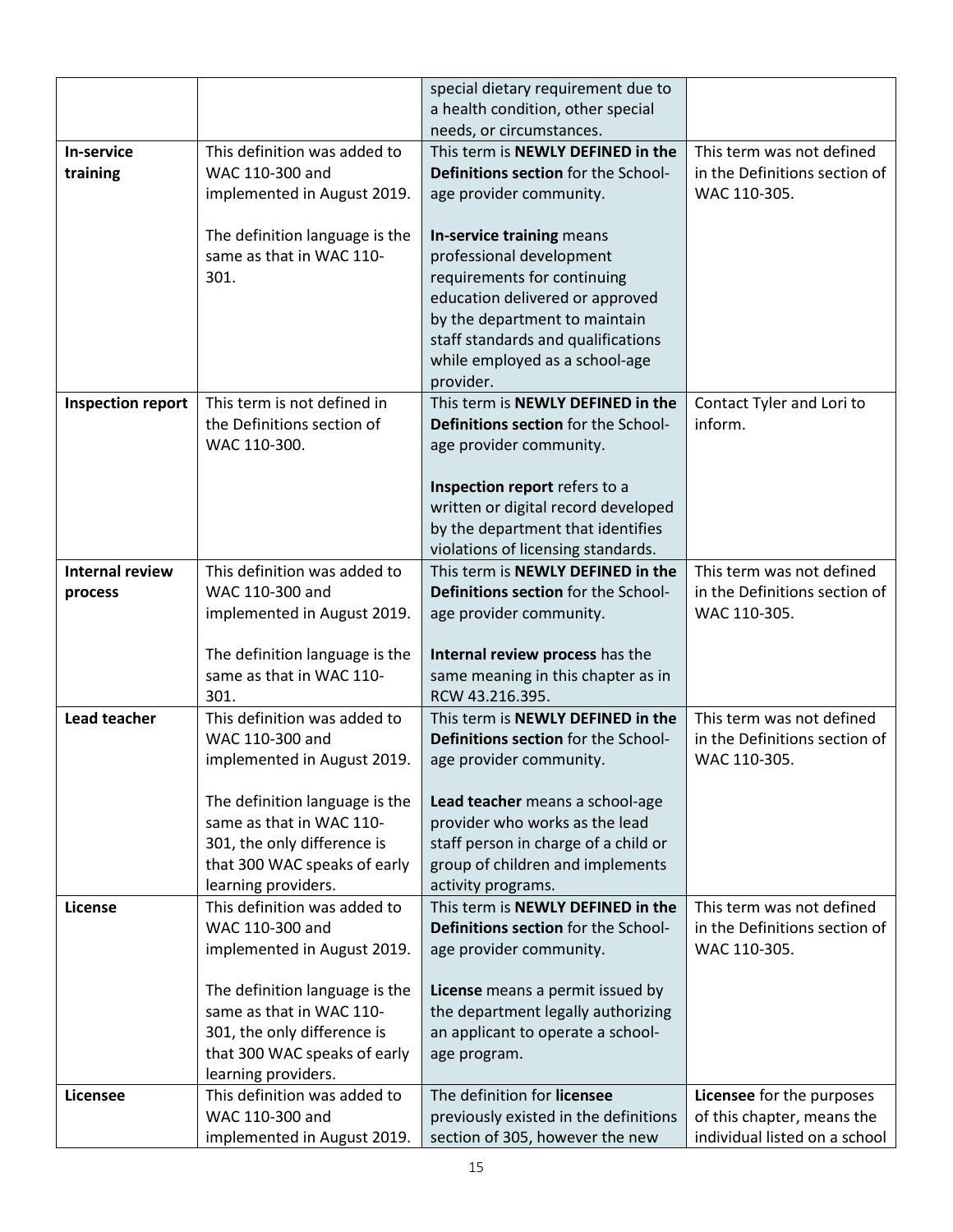|                          |                                                         | special dietary requirement due to                                     |                               |
|--------------------------|---------------------------------------------------------|------------------------------------------------------------------------|-------------------------------|
|                          |                                                         | a health condition, other special                                      |                               |
|                          |                                                         | needs, or circumstances.                                               |                               |
| In-service               | This definition was added to                            | This term is NEWLY DEFINED in the                                      | This term was not defined     |
| training                 | WAC 110-300 and                                         | Definitions section for the School-                                    | in the Definitions section of |
|                          | implemented in August 2019.                             | age provider community.                                                | WAC 110-305.                  |
|                          |                                                         |                                                                        |                               |
|                          | The definition language is the                          | In-service training means                                              |                               |
|                          | same as that in WAC 110-                                | professional development                                               |                               |
|                          | 301.                                                    | requirements for continuing                                            |                               |
|                          |                                                         | education delivered or approved                                        |                               |
|                          |                                                         | by the department to maintain                                          |                               |
|                          |                                                         | staff standards and qualifications                                     |                               |
|                          |                                                         | while employed as a school-age                                         |                               |
|                          |                                                         | provider.                                                              |                               |
| <b>Inspection report</b> | This term is not defined in                             | This term is NEWLY DEFINED in the                                      | Contact Tyler and Lori to     |
|                          | the Definitions section of                              | Definitions section for the School-                                    | inform.                       |
|                          | WAC 110-300.                                            | age provider community.                                                |                               |
|                          |                                                         | Inspection report refers to a                                          |                               |
|                          |                                                         | written or digital record developed                                    |                               |
|                          |                                                         | by the department that identifies                                      |                               |
|                          |                                                         | violations of licensing standards.                                     |                               |
| <b>Internal review</b>   | This definition was added to                            | This term is NEWLY DEFINED in the                                      | This term was not defined     |
| process                  | WAC 110-300 and                                         | Definitions section for the School-                                    | in the Definitions section of |
|                          | implemented in August 2019.                             | age provider community.                                                | WAC 110-305.                  |
|                          |                                                         |                                                                        |                               |
|                          | The definition language is the                          | Internal review process has the                                        |                               |
|                          | same as that in WAC 110-                                | same meaning in this chapter as in                                     |                               |
|                          | 301.                                                    | RCW 43.216.395.                                                        |                               |
| <b>Lead teacher</b>      | This definition was added to                            | This term is NEWLY DEFINED in the                                      | This term was not defined     |
|                          | WAC 110-300 and                                         | Definitions section for the School-                                    | in the Definitions section of |
|                          | implemented in August 2019.                             | age provider community.                                                | WAC 110-305.                  |
|                          |                                                         |                                                                        |                               |
|                          | The definition language is the                          | Lead teacher means a school-age                                        |                               |
|                          | same as that in WAC 110-<br>301, the only difference is | provider who works as the lead<br>staff person in charge of a child or |                               |
|                          | that 300 WAC speaks of early                            | group of children and implements                                       |                               |
|                          | learning providers.                                     | activity programs.                                                     |                               |
| License                  | This definition was added to                            | This term is NEWLY DEFINED in the                                      | This term was not defined     |
|                          | WAC 110-300 and                                         | Definitions section for the School-                                    | in the Definitions section of |
|                          | implemented in August 2019.                             | age provider community.                                                | WAC 110-305.                  |
|                          |                                                         |                                                                        |                               |
|                          | The definition language is the                          | License means a permit issued by                                       |                               |
|                          | same as that in WAC 110-                                | the department legally authorizing                                     |                               |
|                          | 301, the only difference is                             | an applicant to operate a school-                                      |                               |
|                          | that 300 WAC speaks of early                            | age program.                                                           |                               |
|                          | learning providers.                                     |                                                                        |                               |
| Licensee                 | This definition was added to                            | The definition for licensee                                            | Licensee for the purposes     |
|                          | WAC 110-300 and                                         | previously existed in the definitions                                  | of this chapter, means the    |
|                          | implemented in August 2019.                             | section of 305, however the new                                        | individual listed on a school |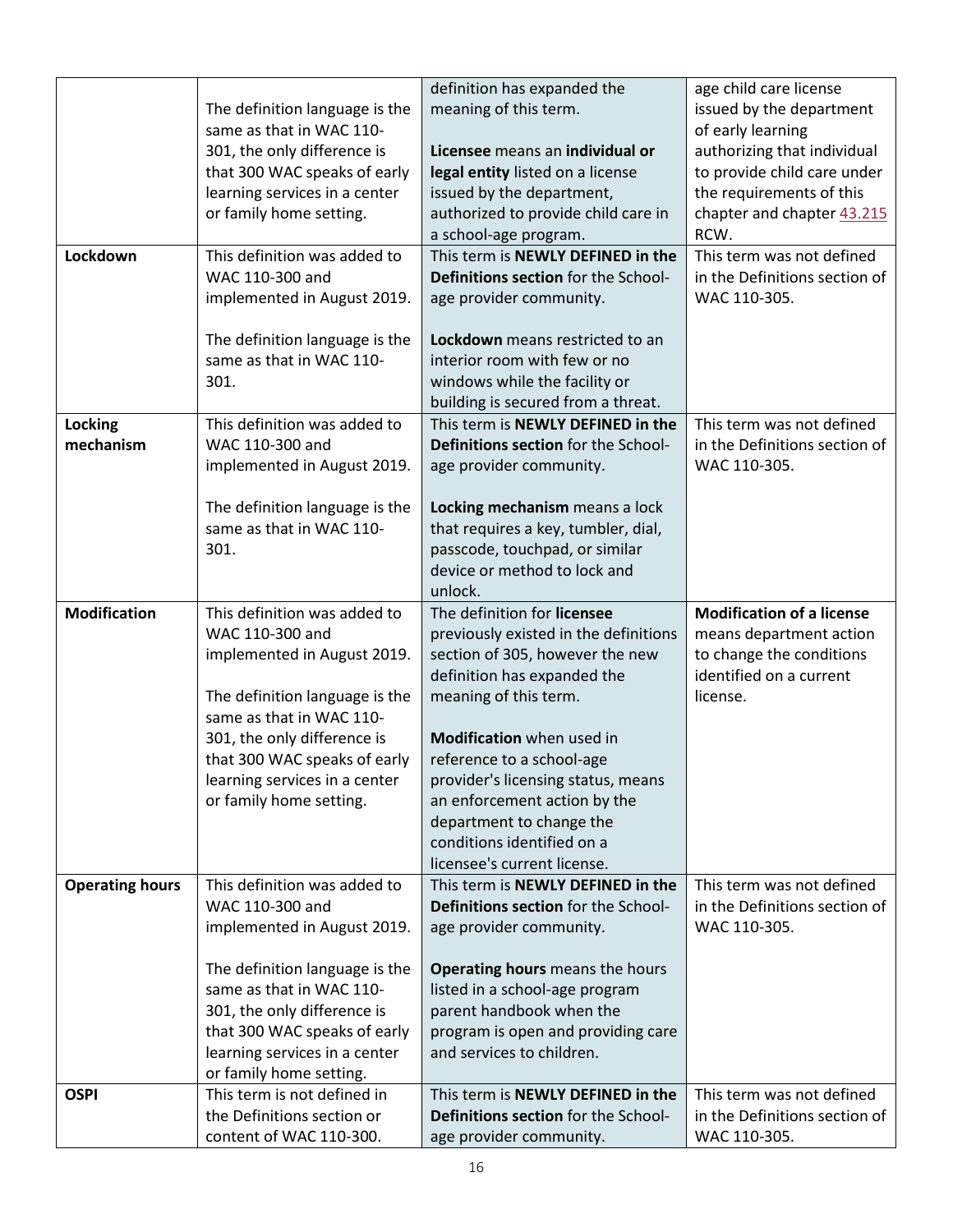|                        |                                                            | definition has expanded the                                      | age child care license                        |
|------------------------|------------------------------------------------------------|------------------------------------------------------------------|-----------------------------------------------|
|                        |                                                            | meaning of this term.                                            | issued by the department                      |
|                        | The definition language is the<br>same as that in WAC 110- |                                                                  |                                               |
|                        |                                                            |                                                                  | of early learning                             |
|                        | 301, the only difference is                                | Licensee means an individual or                                  | authorizing that individual                   |
|                        | that 300 WAC speaks of early                               | legal entity listed on a license                                 | to provide child care under                   |
|                        | learning services in a center                              | issued by the department,                                        | the requirements of this                      |
|                        | or family home setting.                                    | authorized to provide child care in                              | chapter and chapter 43.215                    |
|                        |                                                            | a school-age program.                                            | RCW.                                          |
| Lockdown               | This definition was added to                               | This term is NEWLY DEFINED in the                                | This term was not defined                     |
|                        | WAC 110-300 and                                            | Definitions section for the School-                              | in the Definitions section of                 |
|                        | implemented in August 2019.                                | age provider community.                                          | WAC 110-305.                                  |
|                        |                                                            |                                                                  |                                               |
|                        | The definition language is the                             | Lockdown means restricted to an                                  |                                               |
|                        | same as that in WAC 110-                                   | interior room with few or no                                     |                                               |
|                        | 301.                                                       | windows while the facility or                                    |                                               |
|                        |                                                            | building is secured from a threat.                               |                                               |
| Locking                | This definition was added to                               | This term is NEWLY DEFINED in the                                | This term was not defined                     |
| mechanism              | WAC 110-300 and                                            | Definitions section for the School-                              | in the Definitions section of                 |
|                        | implemented in August 2019.                                | age provider community.                                          | WAC 110-305.                                  |
|                        |                                                            |                                                                  |                                               |
|                        |                                                            |                                                                  |                                               |
|                        | The definition language is the                             | Locking mechanism means a lock                                   |                                               |
|                        | same as that in WAC 110-                                   | that requires a key, tumbler, dial,                              |                                               |
|                        | 301.                                                       | passcode, touchpad, or similar                                   |                                               |
|                        |                                                            | device or method to lock and                                     |                                               |
|                        |                                                            | unlock.                                                          |                                               |
| <b>Modification</b>    | This definition was added to                               | The definition for licensee                                      | <b>Modification of a license</b>              |
|                        | WAC 110-300 and                                            | previously existed in the definitions                            | means department action                       |
|                        | implemented in August 2019.                                | section of 305, however the new                                  | to change the conditions                      |
|                        |                                                            | definition has expanded the                                      | identified on a current                       |
|                        | The definition language is the                             | meaning of this term.                                            |                                               |
|                        |                                                            |                                                                  | license.                                      |
|                        | same as that in WAC 110-                                   |                                                                  |                                               |
|                        | 301, the only difference is                                | <b>Modification</b> when used in                                 |                                               |
|                        | that 300 WAC speaks of early                               | reference to a school-age                                        |                                               |
|                        |                                                            |                                                                  |                                               |
|                        | learning services in a center                              | provider's licensing status, means                               |                                               |
|                        | or family home setting.                                    | an enforcement action by the                                     |                                               |
|                        |                                                            | department to change the                                         |                                               |
|                        |                                                            | conditions identified on a                                       |                                               |
|                        | This definition was added to                               | licensee's current license.<br>This term is NEWLY DEFINED in the | This term was not defined                     |
| <b>Operating hours</b> |                                                            |                                                                  |                                               |
|                        | WAC 110-300 and                                            | Definitions section for the School-                              | in the Definitions section of                 |
|                        | implemented in August 2019.                                | age provider community.                                          | WAC 110-305.                                  |
|                        |                                                            |                                                                  |                                               |
|                        | The definition language is the                             | Operating hours means the hours                                  |                                               |
|                        | same as that in WAC 110-                                   | listed in a school-age program                                   |                                               |
|                        | 301, the only difference is                                | parent handbook when the                                         |                                               |
|                        | that 300 WAC speaks of early                               | program is open and providing care                               |                                               |
|                        | learning services in a center                              | and services to children.                                        |                                               |
|                        | or family home setting.                                    |                                                                  |                                               |
| <b>OSPI</b>            | This term is not defined in                                | This term is NEWLY DEFINED in the                                | This term was not defined                     |
|                        | the Definitions section or<br>content of WAC 110-300.      | Definitions section for the School-<br>age provider community.   | in the Definitions section of<br>WAC 110-305. |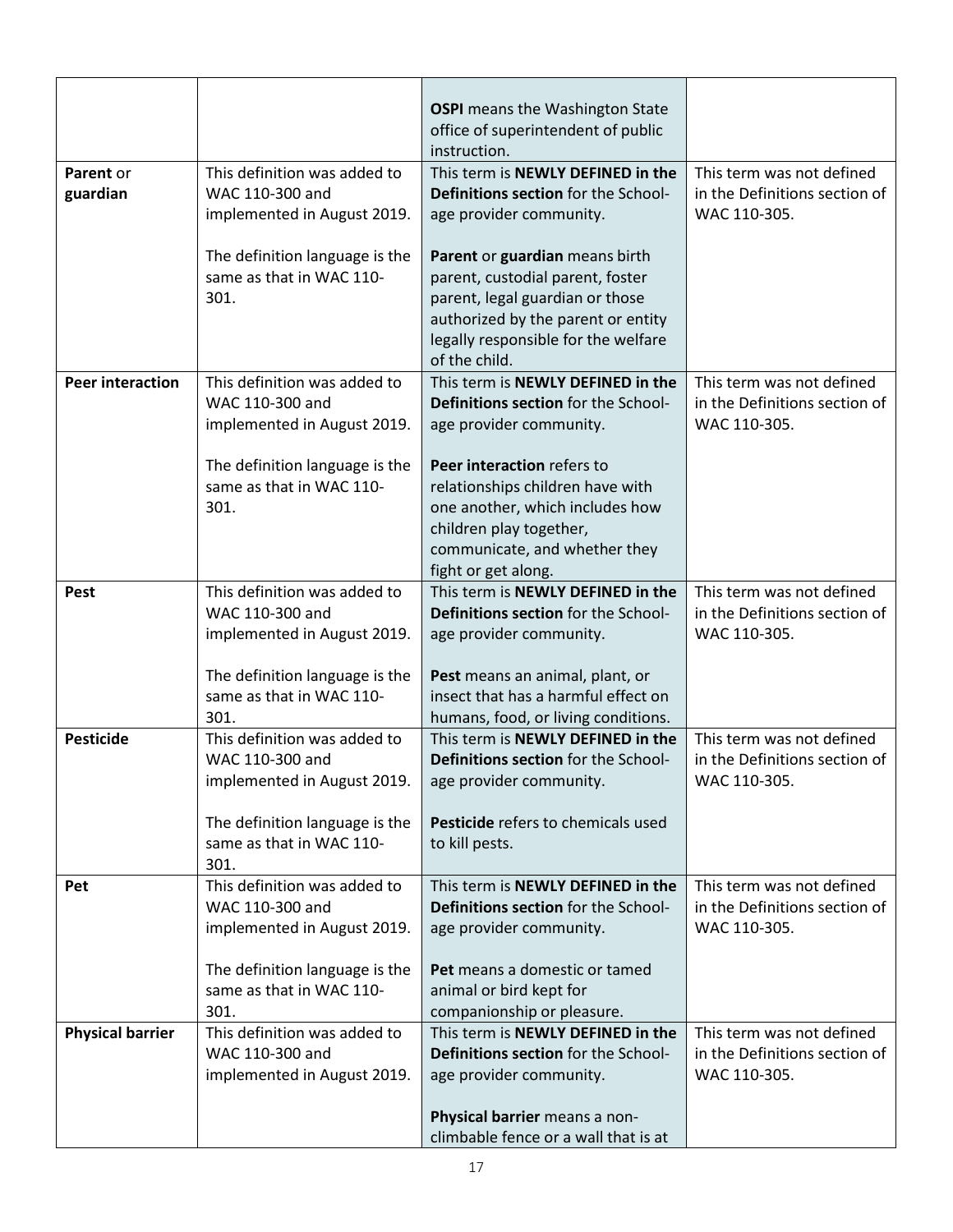|                         |                                                                                | <b>OSPI</b> means the Washington State<br>office of superintendent of public<br>instruction.                                                                                                        |                                                                            |
|-------------------------|--------------------------------------------------------------------------------|-----------------------------------------------------------------------------------------------------------------------------------------------------------------------------------------------------|----------------------------------------------------------------------------|
| Parent or<br>guardian   | This definition was added to<br>WAC 110-300 and<br>implemented in August 2019. | This term is NEWLY DEFINED in the<br>Definitions section for the School-<br>age provider community.                                                                                                 | This term was not defined<br>in the Definitions section of<br>WAC 110-305. |
|                         | The definition language is the<br>same as that in WAC 110-<br>301.             | Parent or guardian means birth<br>parent, custodial parent, foster<br>parent, legal guardian or those<br>authorized by the parent or entity<br>legally responsible for the welfare<br>of the child. |                                                                            |
| <b>Peer interaction</b> | This definition was added to<br>WAC 110-300 and<br>implemented in August 2019. | This term is NEWLY DEFINED in the<br>Definitions section for the School-<br>age provider community.                                                                                                 | This term was not defined<br>in the Definitions section of<br>WAC 110-305. |
|                         | The definition language is the<br>same as that in WAC 110-<br>301.             | Peer interaction refers to<br>relationships children have with<br>one another, which includes how<br>children play together,<br>communicate, and whether they<br>fight or get along.                |                                                                            |
| <b>Pest</b>             | This definition was added to<br>WAC 110-300 and<br>implemented in August 2019. | This term is NEWLY DEFINED in the<br>Definitions section for the School-<br>age provider community.                                                                                                 | This term was not defined<br>in the Definitions section of<br>WAC 110-305. |
|                         | The definition language is the<br>same as that in WAC 110-<br>301.             | Pest means an animal, plant, or<br>insect that has a harmful effect on<br>humans, food, or living conditions.                                                                                       |                                                                            |
| <b>Pesticide</b>        | This definition was added to<br>WAC 110-300 and<br>implemented in August 2019. | This term is NEWLY DEFINED in the<br><b>Definitions section for the School-</b><br>age provider community.                                                                                          | This term was not defined<br>in the Definitions section of<br>WAC 110-305. |
|                         | The definition language is the<br>same as that in WAC 110-<br>301.             | Pesticide refers to chemicals used<br>to kill pests.                                                                                                                                                |                                                                            |
| Pet                     | This definition was added to<br>WAC 110-300 and<br>implemented in August 2019. | This term is NEWLY DEFINED in the<br><b>Definitions section for the School-</b><br>age provider community.                                                                                          | This term was not defined<br>in the Definitions section of<br>WAC 110-305. |
|                         | The definition language is the<br>same as that in WAC 110-<br>301.             | Pet means a domestic or tamed<br>animal or bird kept for<br>companionship or pleasure.                                                                                                              |                                                                            |
| <b>Physical barrier</b> | This definition was added to<br>WAC 110-300 and<br>implemented in August 2019. | This term is NEWLY DEFINED in the<br>Definitions section for the School-<br>age provider community.                                                                                                 | This term was not defined<br>in the Definitions section of<br>WAC 110-305. |
|                         |                                                                                | Physical barrier means a non-<br>climbable fence or a wall that is at                                                                                                                               |                                                                            |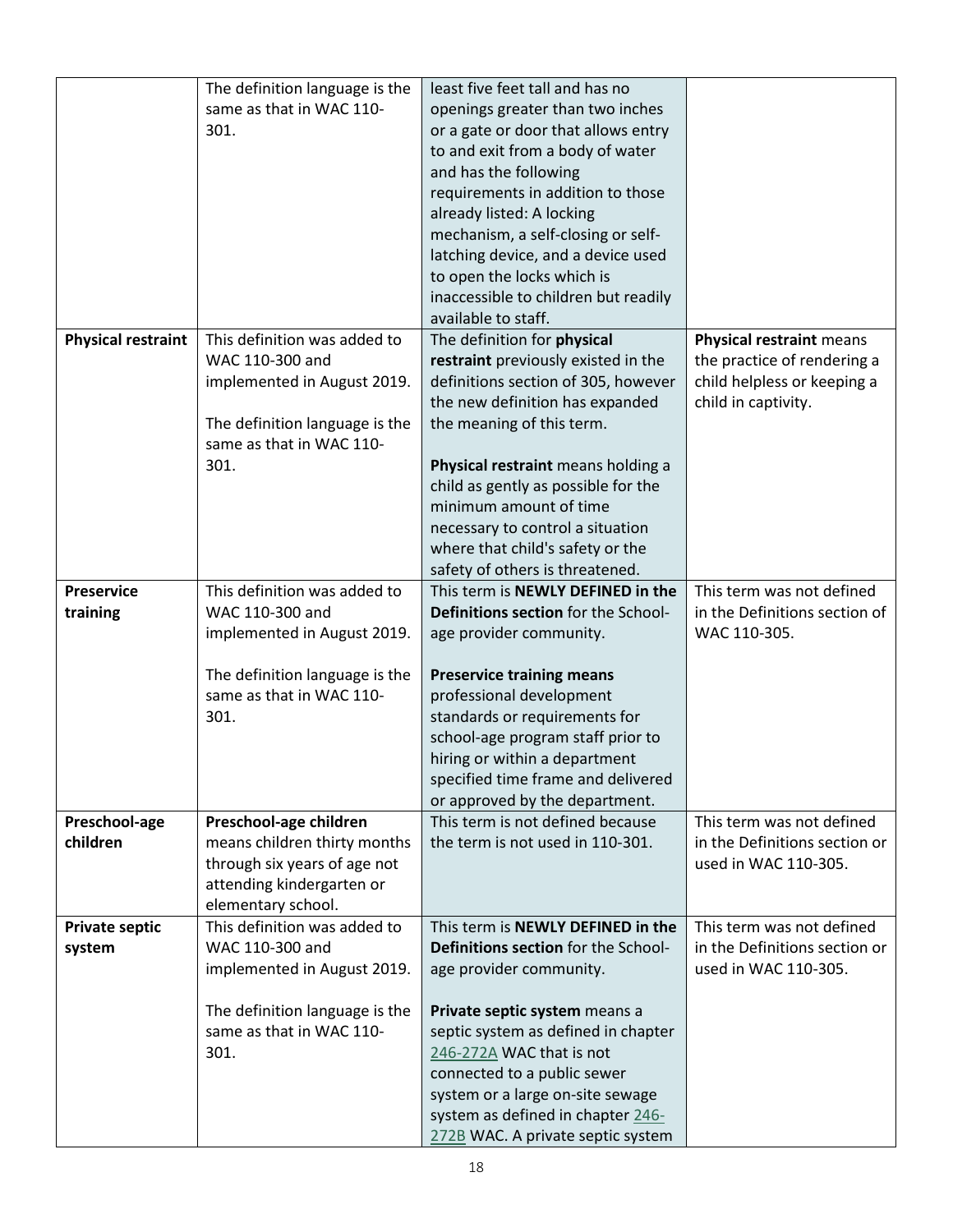|                           | The definition language is the | least five feet tall and has no      |                               |
|---------------------------|--------------------------------|--------------------------------------|-------------------------------|
|                           | same as that in WAC 110-       | openings greater than two inches     |                               |
|                           | 301.                           | or a gate or door that allows entry  |                               |
|                           |                                | to and exit from a body of water     |                               |
|                           |                                | and has the following                |                               |
|                           |                                | requirements in addition to those    |                               |
|                           |                                | already listed: A locking            |                               |
|                           |                                | mechanism, a self-closing or self-   |                               |
|                           |                                | latching device, and a device used   |                               |
|                           |                                | to open the locks which is           |                               |
|                           |                                | inaccessible to children but readily |                               |
|                           |                                | available to staff.                  |                               |
| <b>Physical restraint</b> | This definition was added to   | The definition for physical          | Physical restraint means      |
|                           | WAC 110-300 and                | restraint previously existed in the  | the practice of rendering a   |
|                           | implemented in August 2019.    | definitions section of 305, however  | child helpless or keeping a   |
|                           |                                | the new definition has expanded      | child in captivity.           |
|                           | The definition language is the | the meaning of this term.            |                               |
|                           | same as that in WAC 110-       |                                      |                               |
|                           | 301.                           | Physical restraint means holding a   |                               |
|                           |                                | child as gently as possible for the  |                               |
|                           |                                | minimum amount of time               |                               |
|                           |                                | necessary to control a situation     |                               |
|                           |                                | where that child's safety or the     |                               |
|                           |                                | safety of others is threatened.      |                               |
| <b>Preservice</b>         | This definition was added to   | This term is NEWLY DEFINED in the    | This term was not defined     |
| training                  | WAC 110-300 and                | Definitions section for the School-  | in the Definitions section of |
|                           | implemented in August 2019.    | age provider community.              | WAC 110-305.                  |
|                           |                                |                                      |                               |
|                           | The definition language is the | <b>Preservice training means</b>     |                               |
|                           | same as that in WAC 110-       | professional development             |                               |
|                           | 301.                           | standards or requirements for        |                               |
|                           |                                | school-age program staff prior to    |                               |
|                           |                                | hiring or within a department        |                               |
|                           |                                | specified time frame and delivered   |                               |
|                           |                                | or approved by the department.       |                               |
| Preschool-age             | Preschool-age children         | This term is not defined because     | This term was not defined     |
| children                  | means children thirty months   | the term is not used in 110-301.     | in the Definitions section or |
|                           | through six years of age not   |                                      | used in WAC 110-305.          |
|                           | attending kindergarten or      |                                      |                               |
|                           | elementary school.             |                                      |                               |
| <b>Private septic</b>     | This definition was added to   | This term is NEWLY DEFINED in the    | This term was not defined     |
| system                    | WAC 110-300 and                | Definitions section for the School-  | in the Definitions section or |
|                           | implemented in August 2019.    | age provider community.              | used in WAC 110-305.          |
|                           |                                |                                      |                               |
|                           | The definition language is the | Private septic system means a        |                               |
|                           | same as that in WAC 110-       | septic system as defined in chapter  |                               |
|                           | 301.                           | 246-272A WAC that is not             |                               |
|                           |                                | connected to a public sewer          |                               |
|                           |                                | system or a large on-site sewage     |                               |
|                           |                                | system as defined in chapter 246-    |                               |
|                           |                                | 272B WAC. A private septic system    |                               |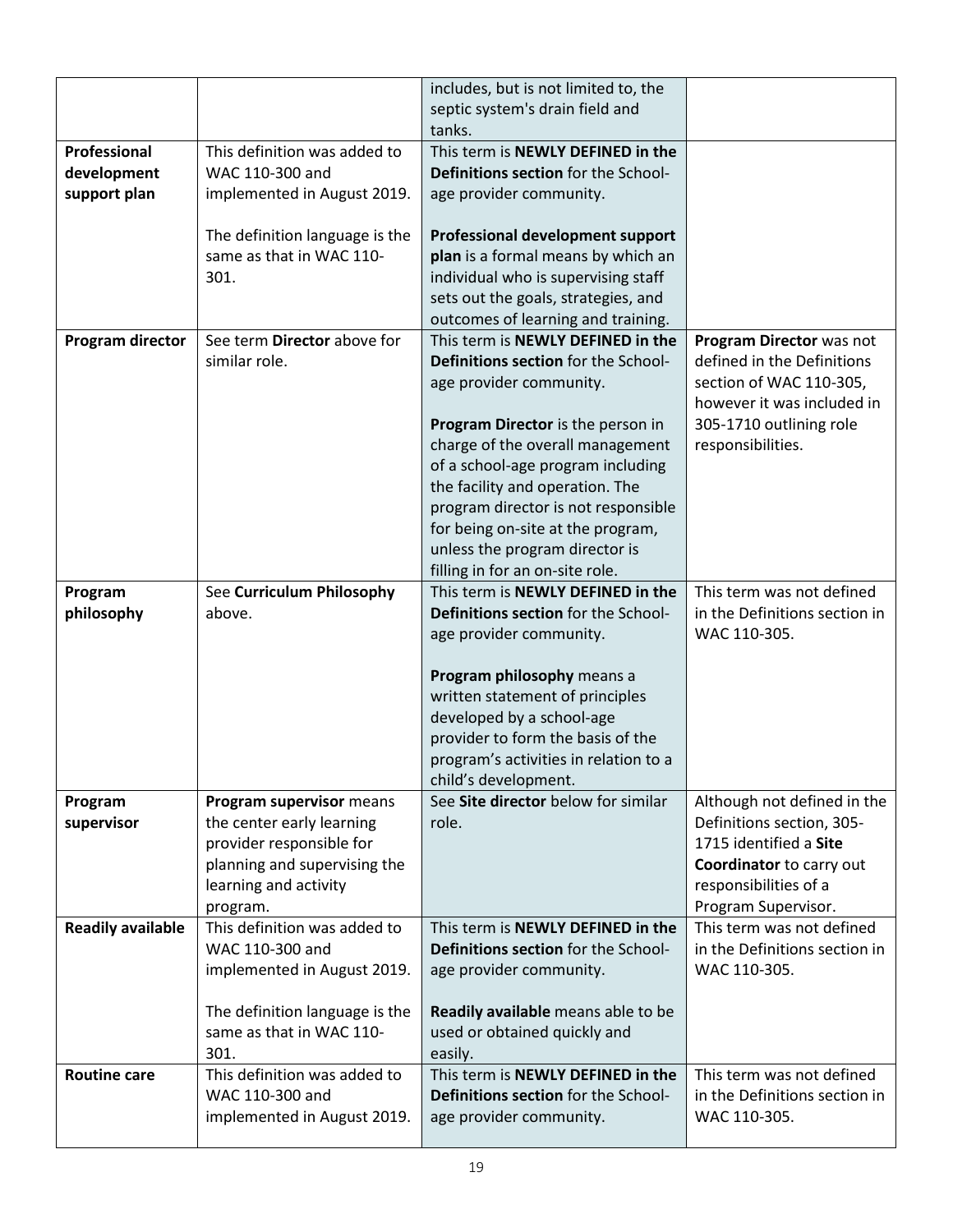|                          |                                                       | includes, but is not limited to, the<br>septic system's drain field and |                                                   |
|--------------------------|-------------------------------------------------------|-------------------------------------------------------------------------|---------------------------------------------------|
|                          |                                                       | tanks.                                                                  |                                                   |
| Professional             | This definition was added to                          | This term is NEWLY DEFINED in the                                       |                                                   |
| development              | WAC 110-300 and                                       | Definitions section for the School-                                     |                                                   |
| support plan             | implemented in August 2019.                           | age provider community.                                                 |                                                   |
|                          |                                                       |                                                                         |                                                   |
|                          | The definition language is the                        | <b>Professional development support</b>                                 |                                                   |
|                          | same as that in WAC 110-                              | plan is a formal means by which an                                      |                                                   |
|                          | 301.                                                  | individual who is supervising staff                                     |                                                   |
|                          |                                                       | sets out the goals, strategies, and                                     |                                                   |
|                          |                                                       | outcomes of learning and training.                                      |                                                   |
| Program director         | See term Director above for                           | This term is NEWLY DEFINED in the                                       | Program Director was not                          |
|                          | similar role.                                         | Definitions section for the School-                                     | defined in the Definitions                        |
|                          |                                                       | age provider community.                                                 | section of WAC 110-305,                           |
|                          |                                                       |                                                                         | however it was included in                        |
|                          |                                                       | Program Director is the person in                                       | 305-1710 outlining role                           |
|                          |                                                       | charge of the overall management                                        | responsibilities.                                 |
|                          |                                                       | of a school-age program including                                       |                                                   |
|                          |                                                       | the facility and operation. The<br>program director is not responsible  |                                                   |
|                          |                                                       | for being on-site at the program,                                       |                                                   |
|                          |                                                       | unless the program director is                                          |                                                   |
|                          |                                                       | filling in for an on-site role.                                         |                                                   |
| Program                  | See Curriculum Philosophy                             | This term is NEWLY DEFINED in the                                       | This term was not defined                         |
| philosophy               | above.                                                | Definitions section for the School-                                     | in the Definitions section in                     |
|                          |                                                       | age provider community.                                                 | WAC 110-305.                                      |
|                          |                                                       |                                                                         |                                                   |
|                          |                                                       | Program philosophy means a                                              |                                                   |
|                          |                                                       | written statement of principles                                         |                                                   |
|                          |                                                       | developed by a school-age                                               |                                                   |
|                          |                                                       | provider to form the basis of the                                       |                                                   |
|                          |                                                       | program's activities in relation to a                                   |                                                   |
|                          |                                                       | child's development.                                                    |                                                   |
| Program                  | Program supervisor means                              | See Site director below for similar                                     | Although not defined in the                       |
| supervisor               | the center early learning                             | role.                                                                   | Definitions section, 305-                         |
|                          | provider responsible for                              |                                                                         | 1715 identified a Site                            |
|                          | planning and supervising the<br>learning and activity |                                                                         | Coordinator to carry out<br>responsibilities of a |
|                          | program.                                              |                                                                         | Program Supervisor.                               |
| <b>Readily available</b> | This definition was added to                          | This term is NEWLY DEFINED in the                                       | This term was not defined                         |
|                          | WAC 110-300 and                                       | Definitions section for the School-                                     | in the Definitions section in                     |
|                          | implemented in August 2019.                           | age provider community.                                                 | WAC 110-305.                                      |
|                          |                                                       |                                                                         |                                                   |
|                          | The definition language is the                        | Readily available means able to be                                      |                                                   |
|                          | same as that in WAC 110-                              | used or obtained quickly and                                            |                                                   |
|                          | 301.                                                  | easily.                                                                 |                                                   |
| <b>Routine care</b>      | This definition was added to                          | This term is NEWLY DEFINED in the                                       | This term was not defined                         |
|                          | WAC 110-300 and                                       | Definitions section for the School-                                     | in the Definitions section in                     |
|                          | implemented in August 2019.                           | age provider community.                                                 | WAC 110-305.                                      |
|                          |                                                       |                                                                         |                                                   |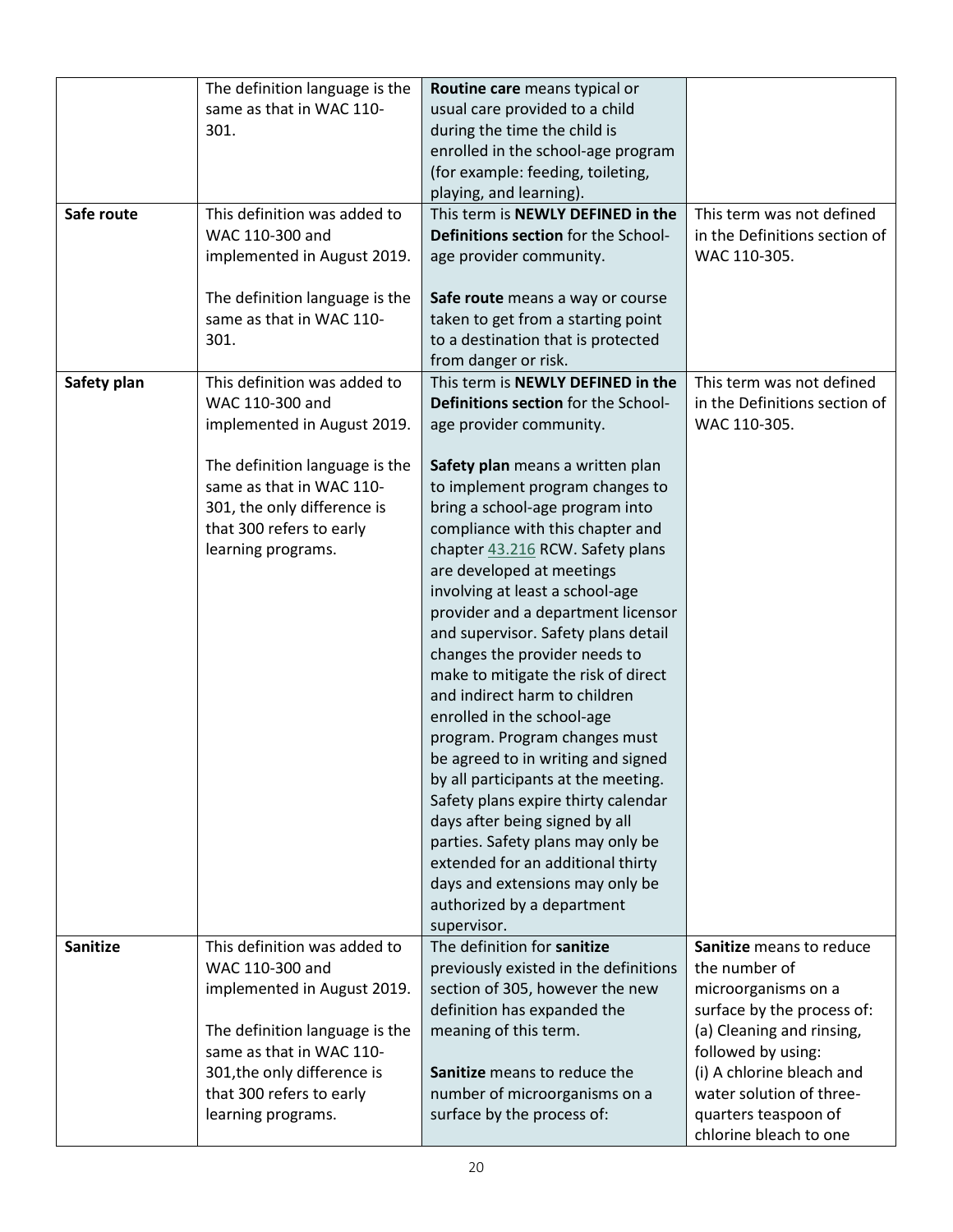|                 | The definition language is the                             | Routine care means typical or                                            |                               |
|-----------------|------------------------------------------------------------|--------------------------------------------------------------------------|-------------------------------|
|                 | same as that in WAC 110-                                   | usual care provided to a child                                           |                               |
|                 | 301.                                                       | during the time the child is                                             |                               |
|                 |                                                            | enrolled in the school-age program                                       |                               |
|                 |                                                            | (for example: feeding, toileting,                                        |                               |
|                 |                                                            | playing, and learning).                                                  |                               |
| Safe route      | This definition was added to                               | This term is NEWLY DEFINED in the                                        | This term was not defined     |
|                 | WAC 110-300 and                                            | Definitions section for the School-                                      | in the Definitions section of |
|                 | implemented in August 2019.                                | age provider community.                                                  | WAC 110-305.                  |
|                 |                                                            |                                                                          |                               |
|                 | The definition language is the<br>same as that in WAC 110- | Safe route means a way or course                                         |                               |
|                 | 301.                                                       | taken to get from a starting point<br>to a destination that is protected |                               |
|                 |                                                            | from danger or risk.                                                     |                               |
| Safety plan     | This definition was added to                               | This term is NEWLY DEFINED in the                                        | This term was not defined     |
|                 | WAC 110-300 and                                            | Definitions section for the School-                                      | in the Definitions section of |
|                 | implemented in August 2019.                                | age provider community.                                                  | WAC 110-305.                  |
|                 |                                                            |                                                                          |                               |
|                 | The definition language is the                             | Safety plan means a written plan                                         |                               |
|                 | same as that in WAC 110-                                   | to implement program changes to                                          |                               |
|                 | 301, the only difference is                                | bring a school-age program into                                          |                               |
|                 | that 300 refers to early                                   | compliance with this chapter and                                         |                               |
|                 | learning programs.                                         | chapter 43.216 RCW. Safety plans                                         |                               |
|                 |                                                            | are developed at meetings                                                |                               |
|                 |                                                            | involving at least a school-age                                          |                               |
|                 |                                                            | provider and a department licensor                                       |                               |
|                 |                                                            | and supervisor. Safety plans detail                                      |                               |
|                 |                                                            | changes the provider needs to                                            |                               |
|                 |                                                            | make to mitigate the risk of direct                                      |                               |
|                 |                                                            | and indirect harm to children                                            |                               |
|                 |                                                            | enrolled in the school-age                                               |                               |
|                 |                                                            | program. Program changes must                                            |                               |
|                 |                                                            | be agreed to in writing and signed                                       |                               |
|                 |                                                            | by all participants at the meeting.                                      |                               |
|                 |                                                            | Safety plans expire thirty calendar                                      |                               |
|                 |                                                            | days after being signed by all                                           |                               |
|                 |                                                            | parties. Safety plans may only be                                        |                               |
|                 |                                                            | extended for an additional thirty                                        |                               |
|                 |                                                            | days and extensions may only be<br>authorized by a department            |                               |
|                 |                                                            | supervisor.                                                              |                               |
| <b>Sanitize</b> | This definition was added to                               | The definition for sanitize                                              | Sanitize means to reduce      |
|                 | WAC 110-300 and                                            | previously existed in the definitions                                    | the number of                 |
|                 | implemented in August 2019.                                | section of 305, however the new                                          | microorganisms on a           |
|                 |                                                            | definition has expanded the                                              | surface by the process of:    |
|                 | The definition language is the                             | meaning of this term.                                                    | (a) Cleaning and rinsing,     |
|                 | same as that in WAC 110-                                   |                                                                          | followed by using:            |
|                 | 301, the only difference is                                | Sanitize means to reduce the                                             | (i) A chlorine bleach and     |
|                 | that 300 refers to early                                   | number of microorganisms on a                                            | water solution of three-      |
|                 | learning programs.                                         | surface by the process of:                                               | quarters teaspoon of          |
|                 |                                                            |                                                                          | chlorine bleach to one        |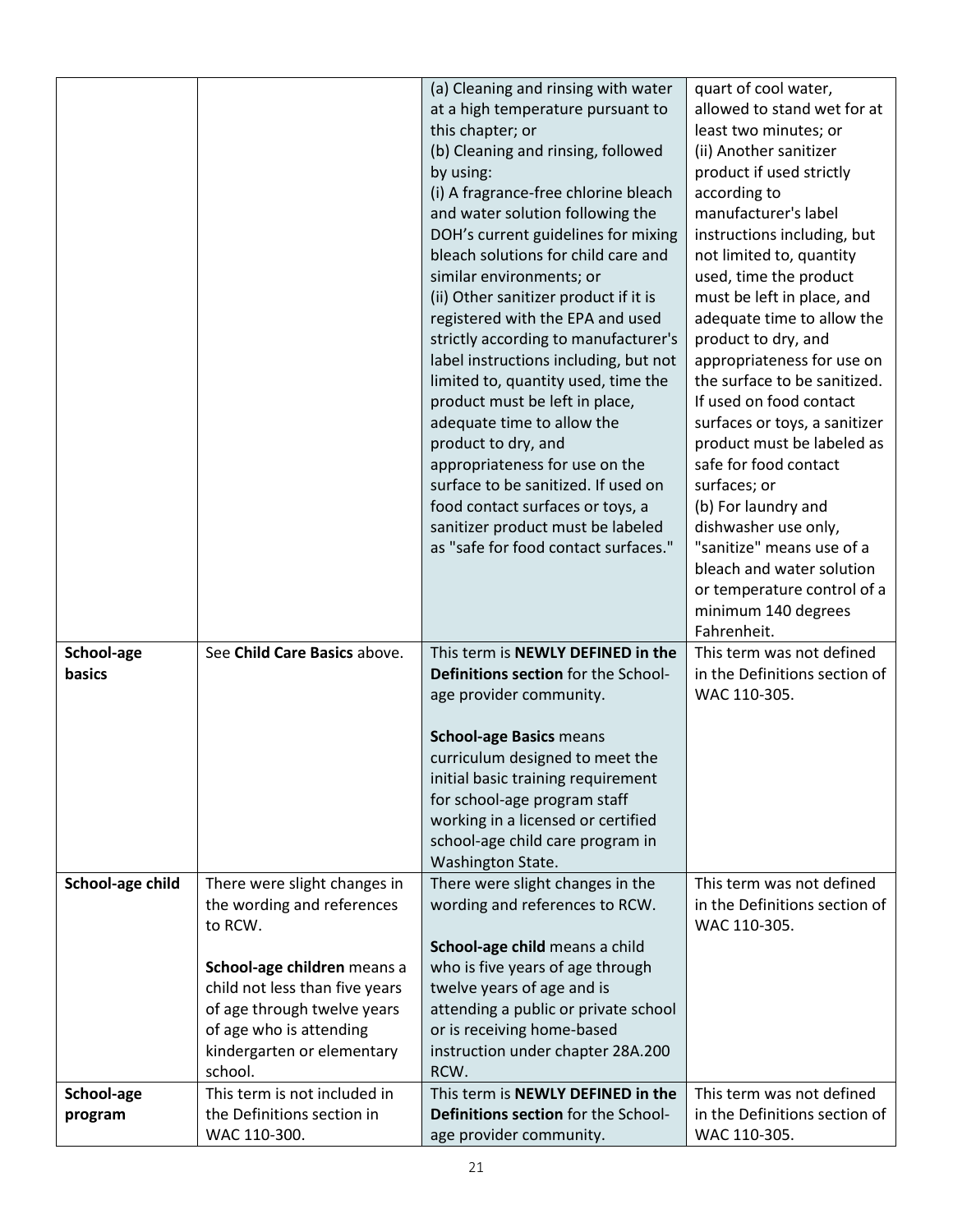|                  |                                                                       | (a) Cleaning and rinsing with water<br>at a high temperature pursuant to<br>this chapter; or<br>(b) Cleaning and rinsing, followed<br>by using:<br>(i) A fragrance-free chlorine bleach<br>and water solution following the<br>DOH's current guidelines for mixing<br>bleach solutions for child care and<br>similar environments; or<br>(ii) Other sanitizer product if it is<br>registered with the EPA and used<br>strictly according to manufacturer's<br>label instructions including, but not<br>limited to, quantity used, time the<br>product must be left in place,<br>adequate time to allow the<br>product to dry, and<br>appropriateness for use on the<br>surface to be sanitized. If used on<br>food contact surfaces or toys, a<br>sanitizer product must be labeled<br>as "safe for food contact surfaces." | quart of cool water,<br>allowed to stand wet for at<br>least two minutes; or<br>(ii) Another sanitizer<br>product if used strictly<br>according to<br>manufacturer's label<br>instructions including, but<br>not limited to, quantity<br>used, time the product<br>must be left in place, and<br>adequate time to allow the<br>product to dry, and<br>appropriateness for use on<br>the surface to be sanitized.<br>If used on food contact<br>surfaces or toys, a sanitizer<br>product must be labeled as<br>safe for food contact<br>surfaces; or<br>(b) For laundry and<br>dishwasher use only,<br>"sanitize" means use of a<br>bleach and water solution<br>or temperature control of a<br>minimum 140 degrees |
|------------------|-----------------------------------------------------------------------|-----------------------------------------------------------------------------------------------------------------------------------------------------------------------------------------------------------------------------------------------------------------------------------------------------------------------------------------------------------------------------------------------------------------------------------------------------------------------------------------------------------------------------------------------------------------------------------------------------------------------------------------------------------------------------------------------------------------------------------------------------------------------------------------------------------------------------|--------------------------------------------------------------------------------------------------------------------------------------------------------------------------------------------------------------------------------------------------------------------------------------------------------------------------------------------------------------------------------------------------------------------------------------------------------------------------------------------------------------------------------------------------------------------------------------------------------------------------------------------------------------------------------------------------------------------|
| School-age       | See Child Care Basics above.                                          | This term is NEWLY DEFINED in the                                                                                                                                                                                                                                                                                                                                                                                                                                                                                                                                                                                                                                                                                                                                                                                           | Fahrenheit.<br>This term was not defined                                                                                                                                                                                                                                                                                                                                                                                                                                                                                                                                                                                                                                                                           |
| basics           |                                                                       | Definitions section for the School-<br>age provider community.                                                                                                                                                                                                                                                                                                                                                                                                                                                                                                                                                                                                                                                                                                                                                              | in the Definitions section of<br>WAC 110-305.                                                                                                                                                                                                                                                                                                                                                                                                                                                                                                                                                                                                                                                                      |
|                  |                                                                       | <b>School-age Basics means</b><br>curriculum designed to meet the                                                                                                                                                                                                                                                                                                                                                                                                                                                                                                                                                                                                                                                                                                                                                           |                                                                                                                                                                                                                                                                                                                                                                                                                                                                                                                                                                                                                                                                                                                    |
|                  |                                                                       | initial basic training requirement                                                                                                                                                                                                                                                                                                                                                                                                                                                                                                                                                                                                                                                                                                                                                                                          |                                                                                                                                                                                                                                                                                                                                                                                                                                                                                                                                                                                                                                                                                                                    |
|                  |                                                                       | for school-age program staff<br>working in a licensed or certified                                                                                                                                                                                                                                                                                                                                                                                                                                                                                                                                                                                                                                                                                                                                                          |                                                                                                                                                                                                                                                                                                                                                                                                                                                                                                                                                                                                                                                                                                                    |
|                  |                                                                       | school-age child care program in<br>Washington State.                                                                                                                                                                                                                                                                                                                                                                                                                                                                                                                                                                                                                                                                                                                                                                       |                                                                                                                                                                                                                                                                                                                                                                                                                                                                                                                                                                                                                                                                                                                    |
| School-age child | There were slight changes in<br>the wording and references<br>to RCW. | There were slight changes in the<br>wording and references to RCW.                                                                                                                                                                                                                                                                                                                                                                                                                                                                                                                                                                                                                                                                                                                                                          | This term was not defined<br>in the Definitions section of<br>WAC 110-305.                                                                                                                                                                                                                                                                                                                                                                                                                                                                                                                                                                                                                                         |
|                  | School-age children means a                                           | School-age child means a child<br>who is five years of age through                                                                                                                                                                                                                                                                                                                                                                                                                                                                                                                                                                                                                                                                                                                                                          |                                                                                                                                                                                                                                                                                                                                                                                                                                                                                                                                                                                                                                                                                                                    |
|                  | child not less than five years                                        | twelve years of age and is                                                                                                                                                                                                                                                                                                                                                                                                                                                                                                                                                                                                                                                                                                                                                                                                  |                                                                                                                                                                                                                                                                                                                                                                                                                                                                                                                                                                                                                                                                                                                    |
|                  | of age through twelve years<br>of age who is attending                | attending a public or private school<br>or is receiving home-based                                                                                                                                                                                                                                                                                                                                                                                                                                                                                                                                                                                                                                                                                                                                                          |                                                                                                                                                                                                                                                                                                                                                                                                                                                                                                                                                                                                                                                                                                                    |
|                  | kindergarten or elementary                                            | instruction under chapter 28A.200                                                                                                                                                                                                                                                                                                                                                                                                                                                                                                                                                                                                                                                                                                                                                                                           |                                                                                                                                                                                                                                                                                                                                                                                                                                                                                                                                                                                                                                                                                                                    |
|                  | school.                                                               | RCW.                                                                                                                                                                                                                                                                                                                                                                                                                                                                                                                                                                                                                                                                                                                                                                                                                        |                                                                                                                                                                                                                                                                                                                                                                                                                                                                                                                                                                                                                                                                                                                    |
| School-age       | This term is not included in                                          | This term is NEWLY DEFINED in the                                                                                                                                                                                                                                                                                                                                                                                                                                                                                                                                                                                                                                                                                                                                                                                           | This term was not defined                                                                                                                                                                                                                                                                                                                                                                                                                                                                                                                                                                                                                                                                                          |
| program          | the Definitions section in<br>WAC 110-300.                            | Definitions section for the School-<br>age provider community.                                                                                                                                                                                                                                                                                                                                                                                                                                                                                                                                                                                                                                                                                                                                                              | in the Definitions section of<br>WAC 110-305.                                                                                                                                                                                                                                                                                                                                                                                                                                                                                                                                                                                                                                                                      |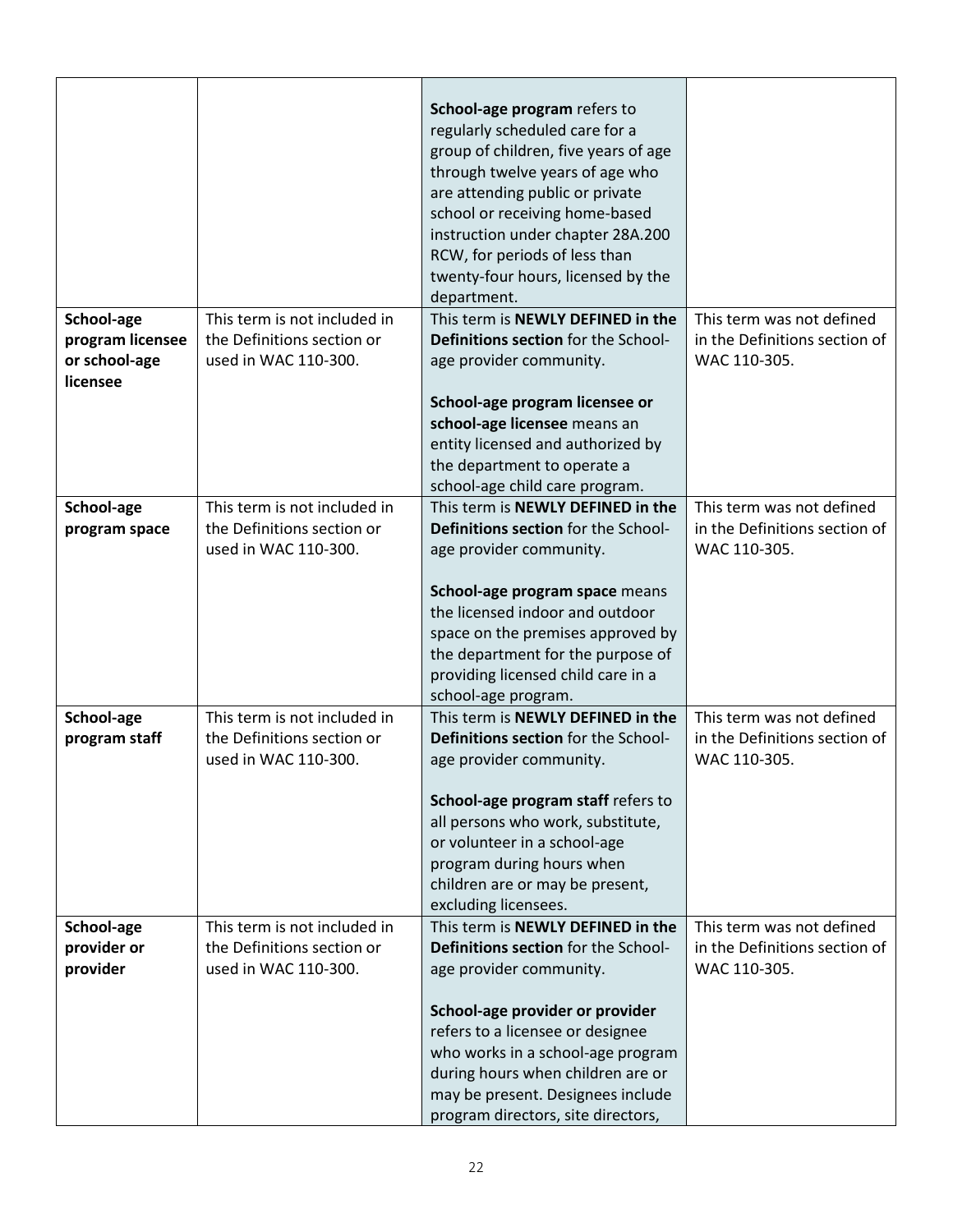|                                                             |                                                                                    | School-age program refers to<br>regularly scheduled care for a<br>group of children, five years of age<br>through twelve years of age who<br>are attending public or private<br>school or receiving home-based<br>instruction under chapter 28A.200<br>RCW, for periods of less than<br>twenty-four hours, licensed by the<br>department. |                                                                            |
|-------------------------------------------------------------|------------------------------------------------------------------------------------|-------------------------------------------------------------------------------------------------------------------------------------------------------------------------------------------------------------------------------------------------------------------------------------------------------------------------------------------|----------------------------------------------------------------------------|
| School-age<br>program licensee<br>or school-age<br>licensee | This term is not included in<br>the Definitions section or<br>used in WAC 110-300. | This term is NEWLY DEFINED in the<br>Definitions section for the School-<br>age provider community.                                                                                                                                                                                                                                       | This term was not defined<br>in the Definitions section of<br>WAC 110-305. |
|                                                             |                                                                                    | School-age program licensee or<br>school-age licensee means an<br>entity licensed and authorized by<br>the department to operate a<br>school-age child care program.                                                                                                                                                                      |                                                                            |
| School-age<br>program space                                 | This term is not included in<br>the Definitions section or<br>used in WAC 110-300. | This term is NEWLY DEFINED in the<br>Definitions section for the School-<br>age provider community.                                                                                                                                                                                                                                       | This term was not defined<br>in the Definitions section of<br>WAC 110-305. |
|                                                             |                                                                                    | School-age program space means<br>the licensed indoor and outdoor<br>space on the premises approved by<br>the department for the purpose of<br>providing licensed child care in a<br>school-age program.                                                                                                                                  |                                                                            |
| School-age<br>program staff                                 | This term is not included in<br>the Definitions section or<br>used in WAC 110-300. | This term is NEWLY DEFINED in the<br>Definitions section for the School-<br>age provider community.                                                                                                                                                                                                                                       | This term was not defined<br>in the Definitions section of<br>WAC 110-305. |
|                                                             |                                                                                    | School-age program staff refers to<br>all persons who work, substitute,<br>or volunteer in a school-age<br>program during hours when<br>children are or may be present,<br>excluding licensees.                                                                                                                                           |                                                                            |
| School-age<br>provider or<br>provider                       | This term is not included in<br>the Definitions section or<br>used in WAC 110-300. | This term is NEWLY DEFINED in the<br>Definitions section for the School-<br>age provider community.                                                                                                                                                                                                                                       | This term was not defined<br>in the Definitions section of<br>WAC 110-305. |
|                                                             |                                                                                    | School-age provider or provider<br>refers to a licensee or designee<br>who works in a school-age program<br>during hours when children are or<br>may be present. Designees include<br>program directors, site directors,                                                                                                                  |                                                                            |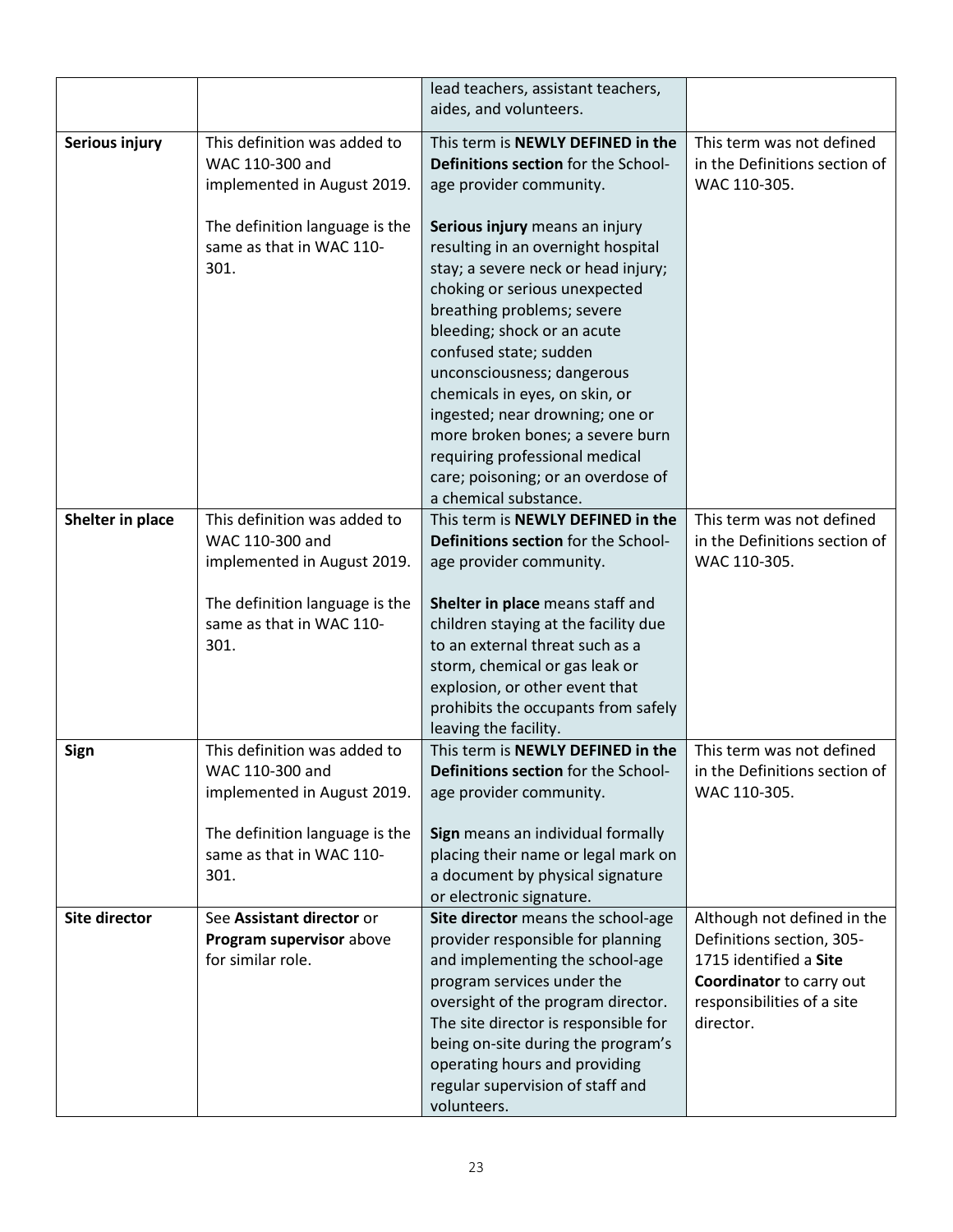|                      |                                                                                | lead teachers, assistant teachers,<br>aides, and volunteers.                                                                                                                                                                                                                                                                                                                                                                                                                |                                                                                                                                                           |
|----------------------|--------------------------------------------------------------------------------|-----------------------------------------------------------------------------------------------------------------------------------------------------------------------------------------------------------------------------------------------------------------------------------------------------------------------------------------------------------------------------------------------------------------------------------------------------------------------------|-----------------------------------------------------------------------------------------------------------------------------------------------------------|
| Serious injury       | This definition was added to<br>WAC 110-300 and<br>implemented in August 2019. | This term is NEWLY DEFINED in the<br>Definitions section for the School-<br>age provider community.                                                                                                                                                                                                                                                                                                                                                                         | This term was not defined<br>in the Definitions section of<br>WAC 110-305.                                                                                |
|                      | The definition language is the<br>same as that in WAC 110-<br>301.             | Serious injury means an injury<br>resulting in an overnight hospital<br>stay; a severe neck or head injury;<br>choking or serious unexpected<br>breathing problems; severe<br>bleeding; shock or an acute<br>confused state; sudden<br>unconsciousness; dangerous<br>chemicals in eyes, on skin, or<br>ingested; near drowning; one or<br>more broken bones; a severe burn<br>requiring professional medical<br>care; poisoning; or an overdose of<br>a chemical substance. |                                                                                                                                                           |
| Shelter in place     | This definition was added to<br>WAC 110-300 and<br>implemented in August 2019. | This term is NEWLY DEFINED in the<br>Definitions section for the School-<br>age provider community.                                                                                                                                                                                                                                                                                                                                                                         | This term was not defined<br>in the Definitions section of<br>WAC 110-305.                                                                                |
|                      | The definition language is the<br>same as that in WAC 110-<br>301.             | Shelter in place means staff and<br>children staying at the facility due<br>to an external threat such as a<br>storm, chemical or gas leak or<br>explosion, or other event that<br>prohibits the occupants from safely<br>leaving the facility.                                                                                                                                                                                                                             |                                                                                                                                                           |
| Sign                 | This definition was added to<br>WAC 110-300 and<br>implemented in August 2019. | This term is NEWLY DEFINED in the<br>Definitions section for the School-<br>age provider community.                                                                                                                                                                                                                                                                                                                                                                         | This term was not defined<br>in the Definitions section of<br>WAC 110-305.                                                                                |
|                      | The definition language is the<br>same as that in WAC 110-<br>301.             | Sign means an individual formally<br>placing their name or legal mark on<br>a document by physical signature<br>or electronic signature.                                                                                                                                                                                                                                                                                                                                    |                                                                                                                                                           |
| <b>Site director</b> | See Assistant director or<br>Program supervisor above<br>for similar role.     | Site director means the school-age<br>provider responsible for planning<br>and implementing the school-age<br>program services under the<br>oversight of the program director.<br>The site director is responsible for<br>being on-site during the program's<br>operating hours and providing<br>regular supervision of staff and<br>volunteers.                                                                                                                            | Although not defined in the<br>Definitions section, 305-<br>1715 identified a Site<br>Coordinator to carry out<br>responsibilities of a site<br>director. |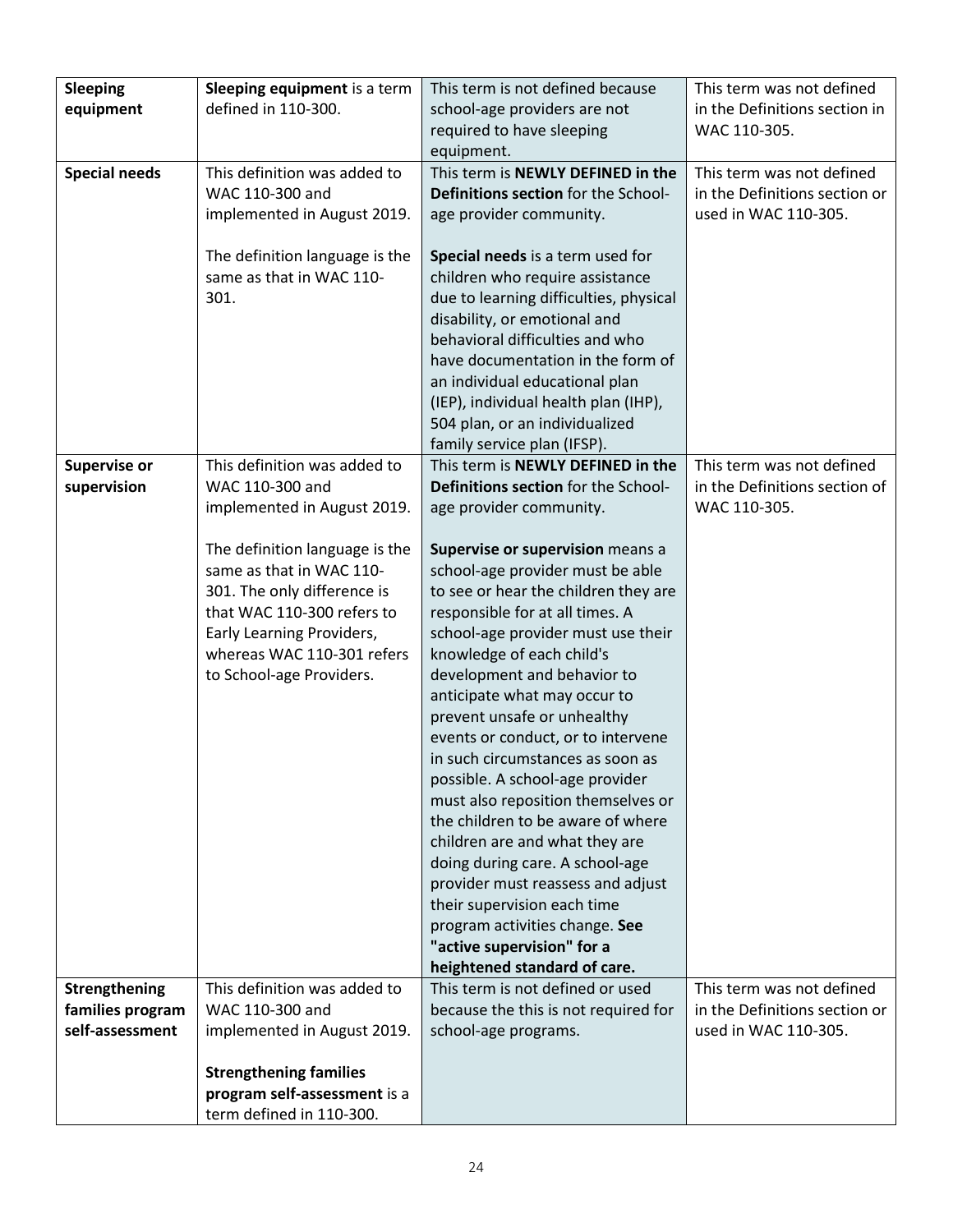| <b>Sleeping</b>      | Sleeping equipment is a term                            | This term is not defined because                         | This term was not defined     |
|----------------------|---------------------------------------------------------|----------------------------------------------------------|-------------------------------|
| equipment            | defined in 110-300.                                     | school-age providers are not                             | in the Definitions section in |
|                      |                                                         | required to have sleeping                                | WAC 110-305.                  |
|                      |                                                         | equipment.                                               |                               |
| <b>Special needs</b> | This definition was added to                            | This term is NEWLY DEFINED in the                        | This term was not defined     |
|                      | WAC 110-300 and                                         | Definitions section for the School-                      | in the Definitions section or |
|                      | implemented in August 2019.                             | age provider community.                                  | used in WAC 110-305.          |
|                      |                                                         |                                                          |                               |
|                      | The definition language is the                          | Special needs is a term used for                         |                               |
|                      | same as that in WAC 110-                                | children who require assistance                          |                               |
|                      | 301.                                                    | due to learning difficulties, physical                   |                               |
|                      |                                                         | disability, or emotional and                             |                               |
|                      |                                                         | behavioral difficulties and who                          |                               |
|                      |                                                         | have documentation in the form of                        |                               |
|                      |                                                         | an individual educational plan                           |                               |
|                      |                                                         | (IEP), individual health plan (IHP),                     |                               |
|                      |                                                         | 504 plan, or an individualized                           |                               |
|                      |                                                         | family service plan (IFSP).                              |                               |
| Supervise or         | This definition was added to                            | This term is NEWLY DEFINED in the                        | This term was not defined     |
| supervision          | WAC 110-300 and                                         | Definitions section for the School-                      | in the Definitions section of |
|                      | implemented in August 2019.                             | age provider community.                                  | WAC 110-305.                  |
|                      |                                                         |                                                          |                               |
|                      | The definition language is the                          | Supervise or supervision means a                         |                               |
|                      | same as that in WAC 110-                                | school-age provider must be able                         |                               |
|                      | 301. The only difference is                             | to see or hear the children they are                     |                               |
|                      | that WAC 110-300 refers to                              | responsible for at all times. A                          |                               |
|                      | Early Learning Providers,<br>whereas WAC 110-301 refers | school-age provider must use their                       |                               |
|                      | to School-age Providers.                                | knowledge of each child's<br>development and behavior to |                               |
|                      |                                                         | anticipate what may occur to                             |                               |
|                      |                                                         | prevent unsafe or unhealthy                              |                               |
|                      |                                                         | events or conduct, or to intervene                       |                               |
|                      |                                                         | in such circumstances as soon as                         |                               |
|                      |                                                         | possible. A school-age provider                          |                               |
|                      |                                                         | must also reposition themselves or                       |                               |
|                      |                                                         | the children to be aware of where                        |                               |
|                      |                                                         | children are and what they are                           |                               |
|                      |                                                         | doing during care. A school-age                          |                               |
|                      |                                                         | provider must reassess and adjust                        |                               |
|                      |                                                         | their supervision each time                              |                               |
|                      |                                                         | program activities change. See                           |                               |
|                      |                                                         | "active supervision" for a                               |                               |
|                      |                                                         | heightened standard of care.                             |                               |
| Strengthening        | This definition was added to                            | This term is not defined or used                         | This term was not defined     |
| families program     | WAC 110-300 and                                         | because the this is not required for                     | in the Definitions section or |
| self-assessment      | implemented in August 2019.                             | school-age programs.                                     | used in WAC 110-305.          |
|                      |                                                         |                                                          |                               |
|                      | <b>Strengthening families</b>                           |                                                          |                               |
|                      | program self-assessment is a                            |                                                          |                               |
|                      | term defined in 110-300.                                |                                                          |                               |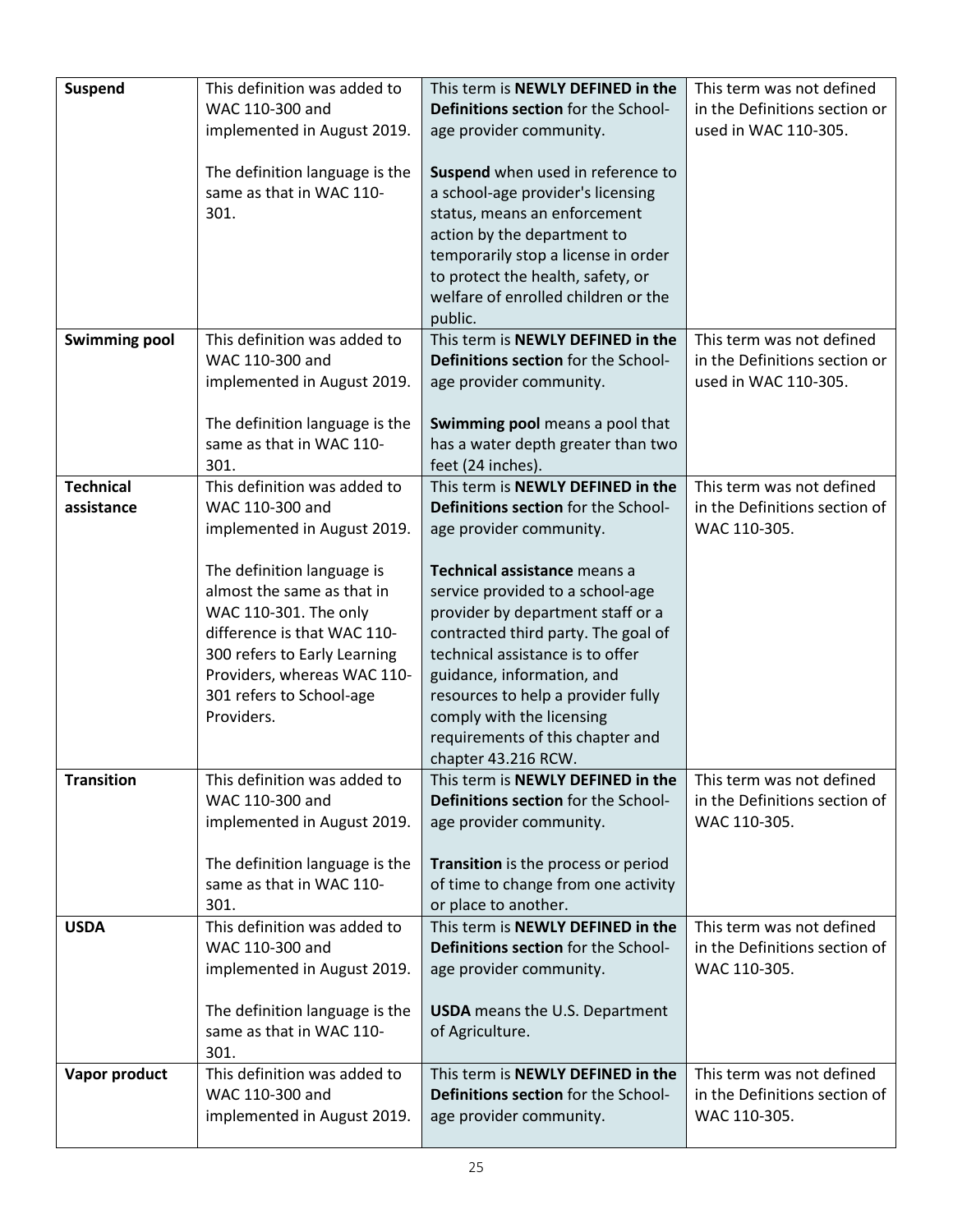| <b>Suspend</b>       | This definition was added to<br>WAC 110-300 and                                                                                                                                                                                                           | This term is NEWLY DEFINED in the<br>Definitions section for the School-                                                                                                                                                                                                                                                                                                          | This term was not defined<br>in the Definitions section or |
|----------------------|-----------------------------------------------------------------------------------------------------------------------------------------------------------------------------------------------------------------------------------------------------------|-----------------------------------------------------------------------------------------------------------------------------------------------------------------------------------------------------------------------------------------------------------------------------------------------------------------------------------------------------------------------------------|------------------------------------------------------------|
|                      | implemented in August 2019.                                                                                                                                                                                                                               | age provider community.                                                                                                                                                                                                                                                                                                                                                           | used in WAC 110-305.                                       |
|                      | The definition language is the<br>same as that in WAC 110-<br>301.                                                                                                                                                                                        | Suspend when used in reference to<br>a school-age provider's licensing<br>status, means an enforcement<br>action by the department to<br>temporarily stop a license in order<br>to protect the health, safety, or<br>welfare of enrolled children or the<br>public.                                                                                                               |                                                            |
| <b>Swimming pool</b> | This definition was added to                                                                                                                                                                                                                              | This term is NEWLY DEFINED in the                                                                                                                                                                                                                                                                                                                                                 | This term was not defined                                  |
|                      | WAC 110-300 and                                                                                                                                                                                                                                           | Definitions section for the School-                                                                                                                                                                                                                                                                                                                                               | in the Definitions section or                              |
|                      | implemented in August 2019.                                                                                                                                                                                                                               | age provider community.                                                                                                                                                                                                                                                                                                                                                           | used in WAC 110-305.                                       |
|                      | The definition language is the                                                                                                                                                                                                                            | Swimming pool means a pool that                                                                                                                                                                                                                                                                                                                                                   |                                                            |
|                      | same as that in WAC 110-                                                                                                                                                                                                                                  | has a water depth greater than two                                                                                                                                                                                                                                                                                                                                                |                                                            |
|                      | 301.                                                                                                                                                                                                                                                      | feet (24 inches).                                                                                                                                                                                                                                                                                                                                                                 |                                                            |
| <b>Technical</b>     | This definition was added to                                                                                                                                                                                                                              | This term is NEWLY DEFINED in the                                                                                                                                                                                                                                                                                                                                                 | This term was not defined                                  |
| assistance           | WAC 110-300 and                                                                                                                                                                                                                                           | Definitions section for the School-                                                                                                                                                                                                                                                                                                                                               | in the Definitions section of                              |
|                      | implemented in August 2019.                                                                                                                                                                                                                               | age provider community.                                                                                                                                                                                                                                                                                                                                                           | WAC 110-305.                                               |
| <b>Transition</b>    | The definition language is<br>almost the same as that in<br>WAC 110-301. The only<br>difference is that WAC 110-<br>300 refers to Early Learning<br>Providers, whereas WAC 110-<br>301 refers to School-age<br>Providers.<br>This definition was added to | Technical assistance means a<br>service provided to a school-age<br>provider by department staff or a<br>contracted third party. The goal of<br>technical assistance is to offer<br>guidance, information, and<br>resources to help a provider fully<br>comply with the licensing<br>requirements of this chapter and<br>chapter 43.216 RCW.<br>This term is NEWLY DEFINED in the | This term was not defined                                  |
|                      | WAC 110-300 and                                                                                                                                                                                                                                           | Definitions section for the School-                                                                                                                                                                                                                                                                                                                                               | in the Definitions section of                              |
|                      | implemented in August 2019.                                                                                                                                                                                                                               | age provider community.                                                                                                                                                                                                                                                                                                                                                           | WAC 110-305.                                               |
|                      | The definition language is the<br>same as that in WAC 110-<br>301.                                                                                                                                                                                        | Transition is the process or period<br>of time to change from one activity<br>or place to another.                                                                                                                                                                                                                                                                                |                                                            |
| <b>USDA</b>          | This definition was added to<br>WAC 110-300 and                                                                                                                                                                                                           | This term is NEWLY DEFINED in the<br>Definitions section for the School-                                                                                                                                                                                                                                                                                                          | This term was not defined<br>in the Definitions section of |
|                      | implemented in August 2019.                                                                                                                                                                                                                               | age provider community.                                                                                                                                                                                                                                                                                                                                                           | WAC 110-305.                                               |
|                      | The definition language is the<br>same as that in WAC 110-<br>301.                                                                                                                                                                                        | <b>USDA</b> means the U.S. Department<br>of Agriculture.                                                                                                                                                                                                                                                                                                                          |                                                            |
| Vapor product        | This definition was added to                                                                                                                                                                                                                              | This term is NEWLY DEFINED in the                                                                                                                                                                                                                                                                                                                                                 | This term was not defined                                  |
|                      | WAC 110-300 and                                                                                                                                                                                                                                           | Definitions section for the School-                                                                                                                                                                                                                                                                                                                                               | in the Definitions section of                              |
|                      | implemented in August 2019.                                                                                                                                                                                                                               | age provider community.                                                                                                                                                                                                                                                                                                                                                           | WAC 110-305.                                               |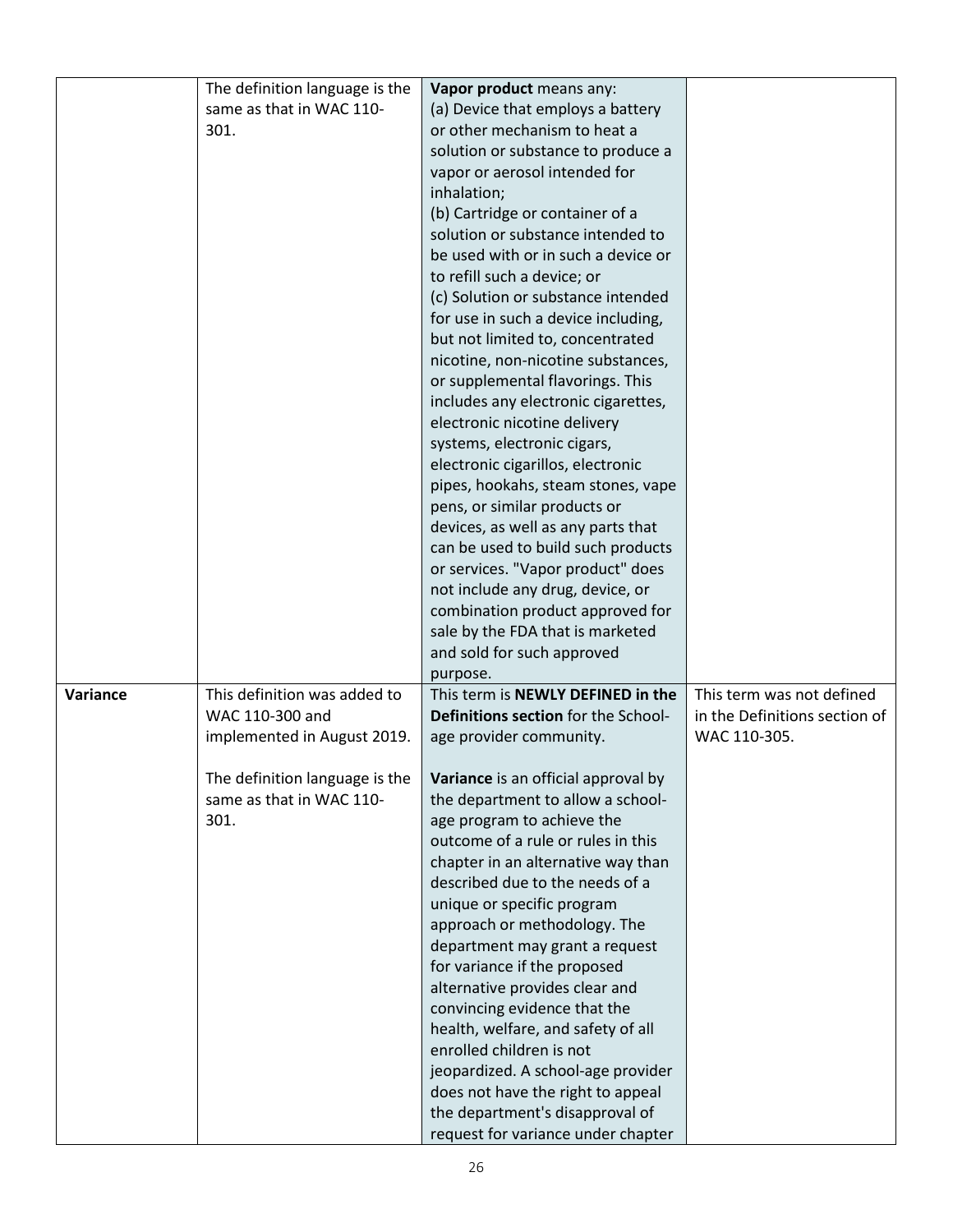|          | The definition language is the | Vapor product means any:            |                               |
|----------|--------------------------------|-------------------------------------|-------------------------------|
|          | same as that in WAC 110-       | (a) Device that employs a battery   |                               |
|          | 301.                           | or other mechanism to heat a        |                               |
|          |                                | solution or substance to produce a  |                               |
|          |                                | vapor or aerosol intended for       |                               |
|          |                                | inhalation;                         |                               |
|          |                                | (b) Cartridge or container of a     |                               |
|          |                                | solution or substance intended to   |                               |
|          |                                | be used with or in such a device or |                               |
|          |                                | to refill such a device; or         |                               |
|          |                                | (c) Solution or substance intended  |                               |
|          |                                | for use in such a device including, |                               |
|          |                                | but not limited to, concentrated    |                               |
|          |                                | nicotine, non-nicotine substances,  |                               |
|          |                                |                                     |                               |
|          |                                | or supplemental flavorings. This    |                               |
|          |                                | includes any electronic cigarettes, |                               |
|          |                                | electronic nicotine delivery        |                               |
|          |                                | systems, electronic cigars,         |                               |
|          |                                | electronic cigarillos, electronic   |                               |
|          |                                | pipes, hookahs, steam stones, vape  |                               |
|          |                                | pens, or similar products or        |                               |
|          |                                | devices, as well as any parts that  |                               |
|          |                                | can be used to build such products  |                               |
|          |                                | or services. "Vapor product" does   |                               |
|          |                                | not include any drug, device, or    |                               |
|          |                                | combination product approved for    |                               |
|          |                                | sale by the FDA that is marketed    |                               |
|          |                                | and sold for such approved          |                               |
|          |                                | purpose.                            |                               |
| Variance | This definition was added to   | This term is NEWLY DEFINED in the   | This term was not defined     |
|          | WAC 110-300 and                | Definitions section for the School- | in the Definitions section of |
|          | implemented in August 2019.    | age provider community.             | WAC 110-305.                  |
|          |                                |                                     |                               |
|          | The definition language is the | Variance is an official approval by |                               |
|          | same as that in WAC 110-       | the department to allow a school-   |                               |
|          | 301.                           | age program to achieve the          |                               |
|          |                                | outcome of a rule or rules in this  |                               |
|          |                                | chapter in an alternative way than  |                               |
|          |                                | described due to the needs of a     |                               |
|          |                                | unique or specific program          |                               |
|          |                                | approach or methodology. The        |                               |
|          |                                | department may grant a request      |                               |
|          |                                | for variance if the proposed        |                               |
|          |                                | alternative provides clear and      |                               |
|          |                                | convincing evidence that the        |                               |
|          |                                | health, welfare, and safety of all  |                               |
|          |                                | enrolled children is not            |                               |
|          |                                | jeopardized. A school-age provider  |                               |
|          |                                | does not have the right to appeal   |                               |
|          |                                | the department's disapproval of     |                               |
|          |                                | request for variance under chapter  |                               |
|          |                                |                                     |                               |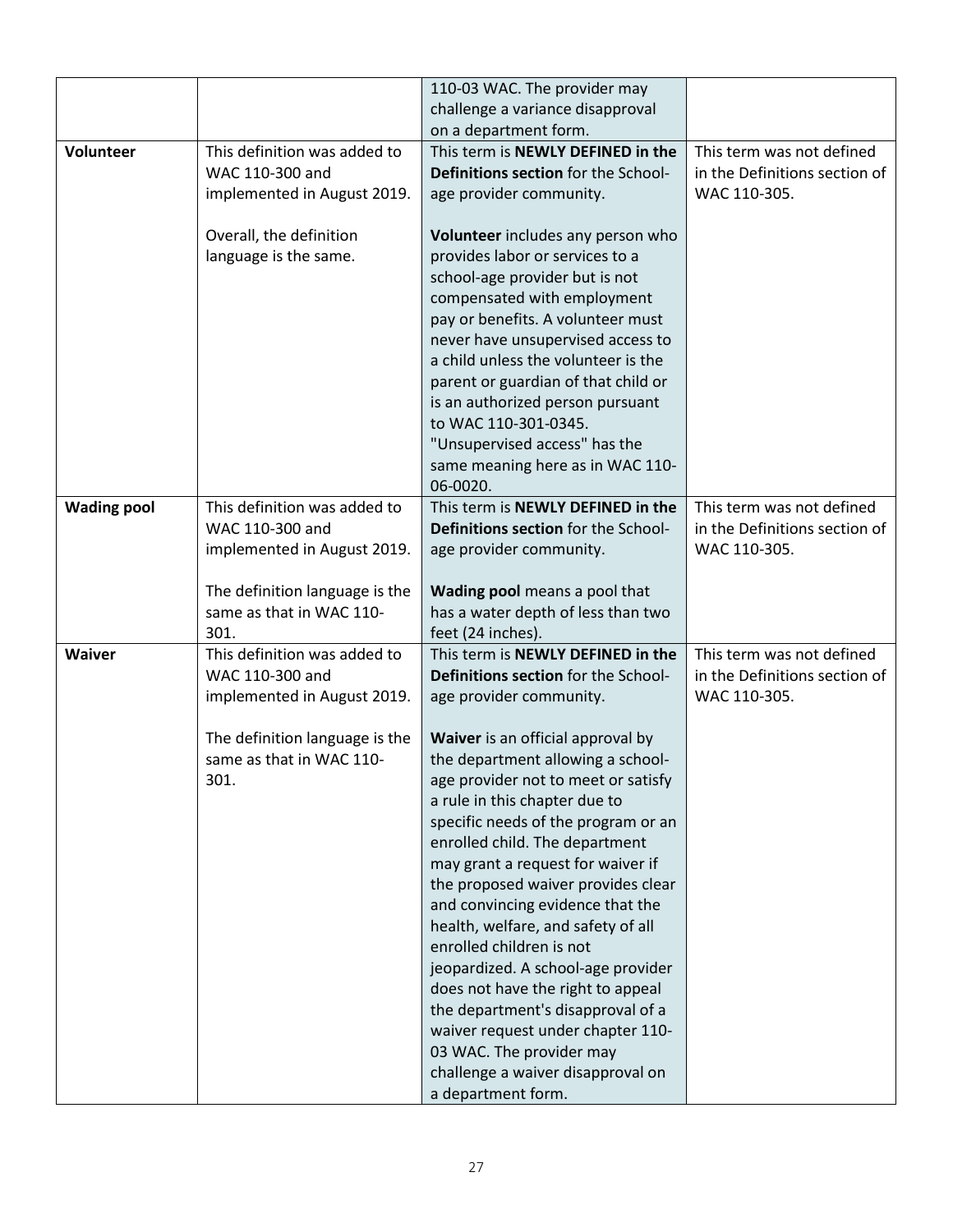|                    |                                | 110-03 WAC. The provider may                                   |                               |
|--------------------|--------------------------------|----------------------------------------------------------------|-------------------------------|
|                    |                                | challenge a variance disapproval                               |                               |
|                    |                                | on a department form.                                          |                               |
|                    |                                |                                                                |                               |
| <b>Volunteer</b>   | This definition was added to   | This term is NEWLY DEFINED in the                              | This term was not defined     |
|                    | WAC 110-300 and                | Definitions section for the School-                            | in the Definitions section of |
|                    | implemented in August 2019.    | age provider community.                                        | WAC 110-305.                  |
|                    |                                |                                                                |                               |
|                    | Overall, the definition        | Volunteer includes any person who                              |                               |
|                    | language is the same.          | provides labor or services to a                                |                               |
|                    |                                | school-age provider but is not                                 |                               |
|                    |                                | compensated with employment                                    |                               |
|                    |                                | pay or benefits. A volunteer must                              |                               |
|                    |                                | never have unsupervised access to                              |                               |
|                    |                                | a child unless the volunteer is the                            |                               |
|                    |                                | parent or guardian of that child or                            |                               |
|                    |                                | is an authorized person pursuant                               |                               |
|                    |                                | to WAC 110-301-0345.                                           |                               |
|                    |                                | "Unsupervised access" has the                                  |                               |
|                    |                                | same meaning here as in WAC 110-                               |                               |
|                    |                                | 06-0020.                                                       |                               |
| <b>Wading pool</b> | This definition was added to   | This term is NEWLY DEFINED in the                              | This term was not defined     |
|                    | WAC 110-300 and                | Definitions section for the School-                            | in the Definitions section of |
|                    | implemented in August 2019.    | age provider community.                                        | WAC 110-305.                  |
|                    |                                |                                                                |                               |
|                    | The definition language is the | Wading pool means a pool that                                  |                               |
|                    | same as that in WAC 110-       | has a water depth of less than two                             |                               |
|                    | 301.                           | feet (24 inches).                                              |                               |
| <b>Waiver</b>      | This definition was added to   | This term is NEWLY DEFINED in the                              | This term was not defined     |
|                    | WAC 110-300 and                | Definitions section for the School-                            | in the Definitions section of |
|                    | implemented in August 2019.    | age provider community.                                        | WAC 110-305.                  |
|                    |                                |                                                                |                               |
|                    | The definition language is the | Waiver is an official approval by                              |                               |
|                    | same as that in WAC 110-       | the department allowing a school-                              |                               |
|                    | 301.                           | age provider not to meet or satisfy                            |                               |
|                    |                                | a rule in this chapter due to                                  |                               |
|                    |                                | specific needs of the program or an                            |                               |
|                    |                                | enrolled child. The department                                 |                               |
|                    |                                | may grant a request for waiver if                              |                               |
|                    |                                | the proposed waiver provides clear                             |                               |
|                    |                                | and convincing evidence that the                               |                               |
|                    |                                |                                                                |                               |
|                    |                                | health, welfare, and safety of all<br>enrolled children is not |                               |
|                    |                                |                                                                |                               |
|                    |                                | jeopardized. A school-age provider                             |                               |
|                    |                                | does not have the right to appeal                              |                               |
|                    |                                | the department's disapproval of a                              |                               |
|                    |                                | waiver request under chapter 110-                              |                               |
|                    |                                | 03 WAC. The provider may                                       |                               |
|                    |                                | challenge a waiver disapproval on                              |                               |
|                    |                                | a department form.                                             |                               |